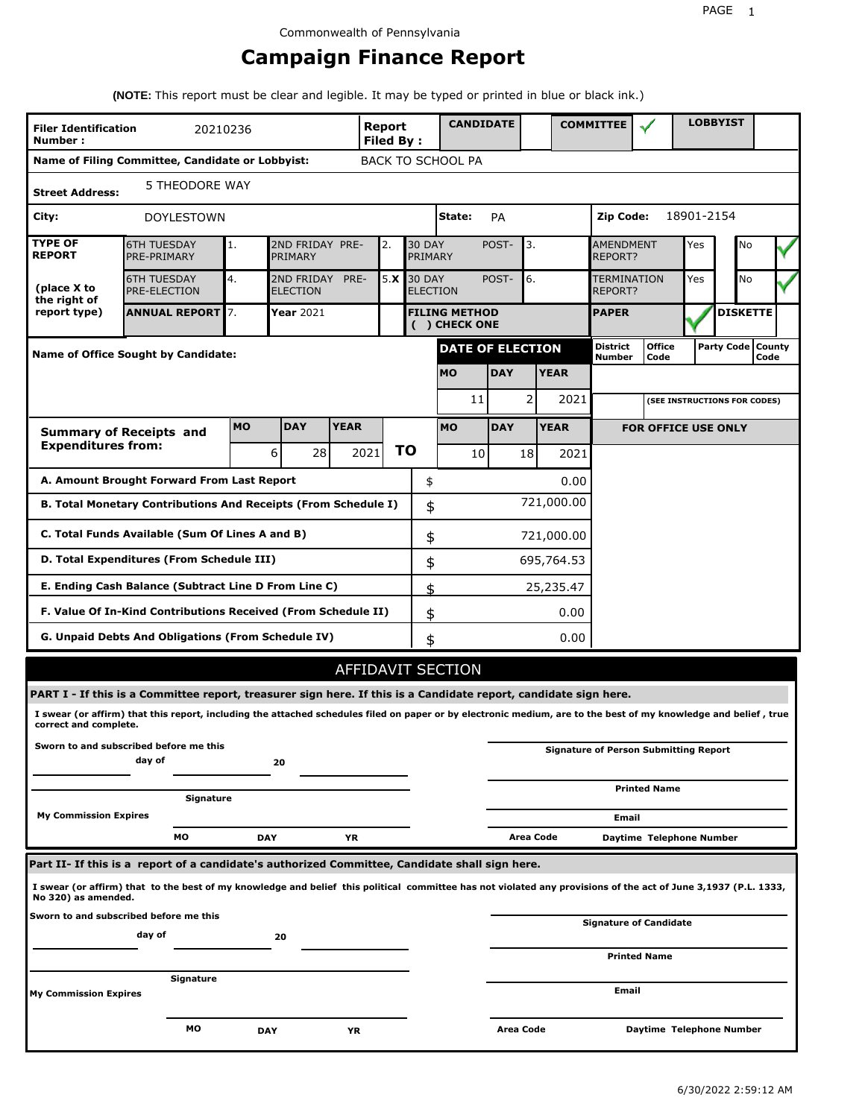# **Campaign Finance Report**

**(NOTE:** This report must be clear and legible. It may be typed or printed in blue or black ink.)

| <b>Filer Identification</b><br>Number:                                             | 20210236                                                                                                                                                        |            |                               |                                       | Report<br><b>Filed By:</b> |               |                          | <b>CANDIDATE</b>         |             |                 |             | <b>COMMITTEE</b>                   |                                              |            | <b>LOBBYIST</b>              |                             |
|------------------------------------------------------------------------------------|-----------------------------------------------------------------------------------------------------------------------------------------------------------------|------------|-------------------------------|---------------------------------------|----------------------------|---------------|--------------------------|--------------------------|-------------|-----------------|-------------|------------------------------------|----------------------------------------------|------------|------------------------------|-----------------------------|
|                                                                                    | Name of Filing Committee, Candidate or Lobbyist:                                                                                                                |            |                               |                                       |                            |               |                          | <b>BACK TO SCHOOL PA</b> |             |                 |             |                                    |                                              |            |                              |                             |
| <b>Street Address:</b>                                                             | 5 THEODORE WAY                                                                                                                                                  |            |                               |                                       |                            |               |                          |                          |             |                 |             |                                    |                                              |            |                              |                             |
| City:                                                                              | <b>DOYLESTOWN</b>                                                                                                                                               |            |                               |                                       |                            |               |                          | State:                   | PA          |                 |             | Zip Code:                          |                                              | 18901-2154 |                              |                             |
| <b>TYPE OF</b><br><b>REPORT</b>                                                    | <b>6TH TUESDAY</b><br>PRE-PRIMARY                                                                                                                               | 1.         | 2ND FRIDAY PRE-<br>PRIMARY    |                                       | 2.                         |               | <b>30 DAY</b><br>PRIMARY |                          | POST-       | 3.              |             | <b>AMENDMENT</b><br><b>REPORT?</b> |                                              | Yes        | No                           |                             |
| (place X to<br>the right of                                                        | <b>6TH TUESDAY</b><br><b>PRE-ELECTION</b>                                                                                                                       | 4.         | 2ND FRIDAY<br><b>ELECTION</b> | PRE-                                  | 5.X                        | <b>30 DAY</b> | <b>ELECTION</b>          |                          | 6.<br>POST- |                 |             | TERMINATION<br>REPORT?             |                                              | Yes        | <b>No</b>                    |                             |
| report type)                                                                       | <b>ANNUAL REPORT 7.</b>                                                                                                                                         |            | Year 2021                     | <b>FILING METHOD</b><br>( ) CHECK ONE |                            |               |                          |                          |             |                 |             | <b>PAPER</b>                       |                                              |            | <b>DISKETTE</b>              |                             |
|                                                                                    | <b>Name of Office Sought by Candidate:</b>                                                                                                                      |            |                               |                                       |                            |               |                          | <b>DATE OF ELECTION</b>  |             |                 |             | District<br>Number                 | <b>Office</b><br>Code                        |            |                              | Party Code   County<br>Code |
|                                                                                    |                                                                                                                                                                 |            |                               |                                       |                            |               |                          | <b>MO</b>                | <b>DAY</b>  |                 | <b>YEAR</b> |                                    |                                              |            |                              |                             |
|                                                                                    |                                                                                                                                                                 |            |                               |                                       |                            |               |                          | 11                       |             | 2               | 2021        |                                    |                                              |            | (SEE INSTRUCTIONS FOR CODES) |                             |
|                                                                                    | <b>Summary of Receipts and</b>                                                                                                                                  | <b>MO</b>  | <b>DAY</b>                    | <b>YEAR</b>                           |                            |               |                          | <b>MO</b>                | <b>DAY</b>  |                 | <b>YEAR</b> |                                    | <b>FOR OFFICE USE ONLY</b>                   |            |                              |                             |
| <b>Expenditures from:</b>                                                          |                                                                                                                                                                 |            | 6<br>28                       |                                       | 2021                       | ΤO            |                          | 10                       |             | 18 <sup>1</sup> | 2021        |                                    |                                              |            |                              |                             |
|                                                                                    | A. Amount Brought Forward From Last Report                                                                                                                      |            |                               |                                       |                            |               | \$                       |                          |             |                 | 0.00        |                                    |                                              |            |                              |                             |
| 721,000.00<br>B. Total Monetary Contributions And Receipts (From Schedule I)<br>\$ |                                                                                                                                                                 |            |                               |                                       |                            |               |                          |                          |             |                 |             |                                    |                                              |            |                              |                             |
| C. Total Funds Available (Sum Of Lines A and B)<br>\$<br>721,000.00                |                                                                                                                                                                 |            |                               |                                       |                            |               |                          |                          |             |                 |             |                                    |                                              |            |                              |                             |
| D. Total Expenditures (From Schedule III)<br>\$                                    |                                                                                                                                                                 |            |                               |                                       |                            |               |                          |                          |             | 695,764.53      |             |                                    |                                              |            |                              |                             |
|                                                                                    | E. Ending Cash Balance (Subtract Line D From Line C)                                                                                                            |            |                               |                                       |                            |               | \$                       |                          |             |                 | 25,235.47   |                                    |                                              |            |                              |                             |
|                                                                                    | F. Value Of In-Kind Contributions Received (From Schedule II)                                                                                                   |            |                               |                                       |                            |               | \$                       |                          |             |                 | 0.00        |                                    |                                              |            |                              |                             |
|                                                                                    | G. Unpaid Debts And Obligations (From Schedule IV)                                                                                                              |            |                               |                                       |                            |               | \$                       |                          |             |                 | 0.00        |                                    |                                              |            |                              |                             |
|                                                                                    |                                                                                                                                                                 |            |                               |                                       |                            |               |                          | AFFIDAVIT SECTION        |             |                 |             |                                    |                                              |            |                              |                             |
|                                                                                    | PART I - If this is a Committee report, treasurer sign here. If this is a Candidate report, candidate sign here.                                                |            |                               |                                       |                            |               |                          |                          |             |                 |             |                                    |                                              |            |                              |                             |
| correct and complete.                                                              | I swear (or affirm) that this report, including the attached schedules filed on paper or by electronic medium, are to the best of my knowledge and belief, true |            |                               |                                       |                            |               |                          |                          |             |                 |             |                                    |                                              |            |                              |                             |
|                                                                                    | Sworn to and subscribed before me this<br>day of                                                                                                                |            | 20                            |                                       |                            |               |                          |                          |             |                 |             |                                    | <b>Signature of Person Submitting Report</b> |            |                              |                             |
|                                                                                    | Signature                                                                                                                                                       |            |                               |                                       |                            |               |                          |                          |             |                 |             |                                    | <b>Printed Name</b>                          |            |                              |                             |
| <b>My Commission Expires</b>                                                       |                                                                                                                                                                 |            |                               |                                       |                            |               |                          |                          |             |                 |             | Email                              |                                              |            |                              |                             |
|                                                                                    | МO                                                                                                                                                              | <b>DAY</b> |                               | ΥR                                    |                            |               |                          |                          |             | Area Code       |             |                                    | Daytime Telephone Number                     |            |                              |                             |
|                                                                                    | Part II- If this is a report of a candidate's authorized Committee, Candidate shall sign here.                                                                  |            |                               |                                       |                            |               |                          |                          |             |                 |             |                                    |                                              |            |                              |                             |
| No 320) as amended.                                                                | I swear (or affirm) that to the best of my knowledge and belief this political committee has not violated any provisions of the act of June 3,1937 (P.L. 1333,  |            |                               |                                       |                            |               |                          |                          |             |                 |             |                                    |                                              |            |                              |                             |
|                                                                                    | Sworn to and subscribed before me this<br>day of                                                                                                                |            | 20                            |                                       |                            |               |                          |                          |             |                 |             |                                    | <b>Signature of Candidate</b>                |            |                              |                             |
|                                                                                    |                                                                                                                                                                 |            |                               |                                       |                            |               |                          |                          |             |                 |             |                                    | <b>Printed Name</b>                          |            |                              |                             |
| Signature<br><b>My Commission Expires</b>                                          |                                                                                                                                                                 |            |                               |                                       |                            |               |                          |                          |             |                 |             | Email                              |                                              |            |                              |                             |
|                                                                                    | мо                                                                                                                                                              | <b>DAY</b> |                               | ΥR                                    |                            |               |                          |                          | Area Code   |                 |             |                                    | Daytime Telephone Number                     |            |                              |                             |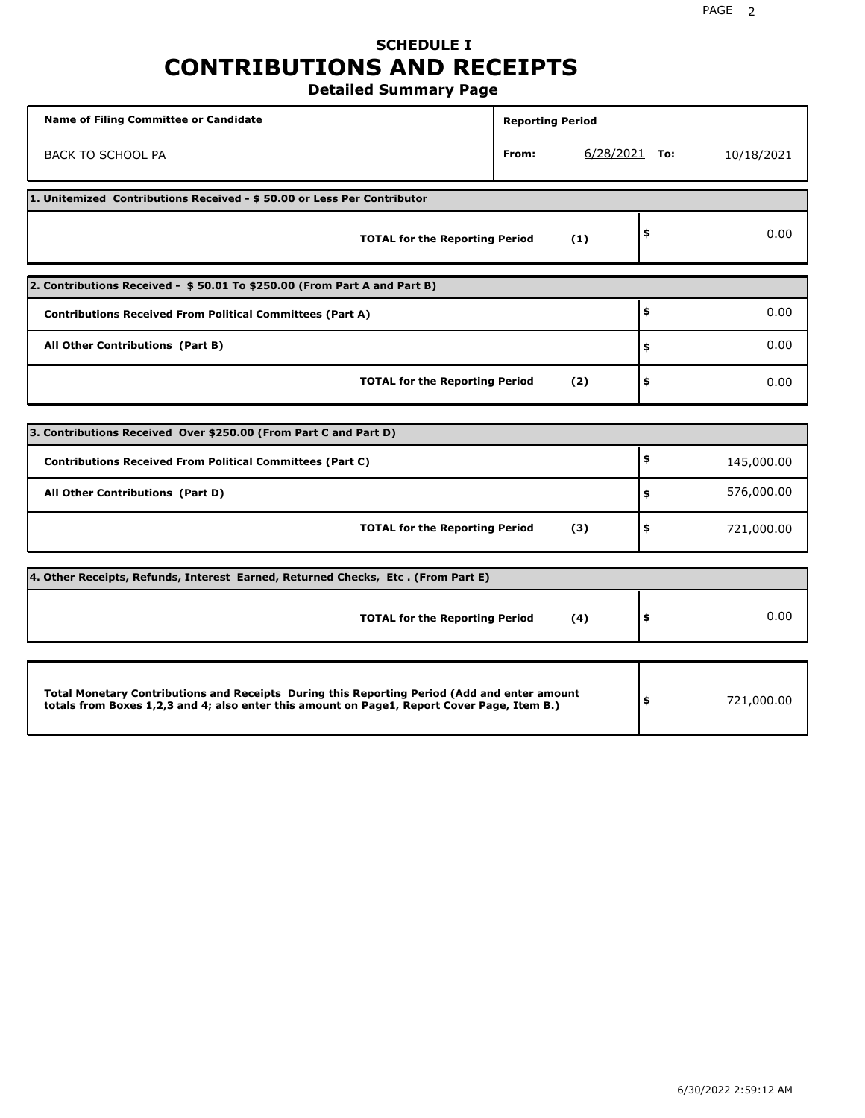## **SCHEDULE I CONTRIBUTIONS AND RECEIPTS Detailed Summary Page**

**Name of Filing Committee or Candidate Reporting Period Reporting Period** BACK TO SCHOOL PA **From:** 6/28/2021 **To:** 10/18/2021 **1. Unitemized Contributions Received - \$ 50.00 or Less Per Contributor TOTAL for the Reporting Period (1) \$** 0.00 **2. Contributions Received - \$ 50.01 To \$250.00 (From Part A and Part B) TOTAL for the Reporting Period (2) Contributions Received From Political Committees (Part A) All Other Contributions (Part B) \$ \$ \$** 0.00 0.00 0.00 **3. Contributions Received Over \$250.00 (From Part C and Part D) TOTAL for the Reporting Period (3) Contributions Received From Political Committees (Part C) All Other Contributions (Part D) \$ \$ \$** 145,000.00 576,000.00 721,000.00 **4. Other Receipts, Refunds, Interest Earned, Returned Checks, Etc . (From Part E) TOTAL for the Reporting Period (4) \$** 0.00 **Total Monetary Contributions and Receipts During this Reporting Period (Add and enter amount totals from Boxes 1,2,3 and 4; also enter this amount on Page1, Report Cover Page, Item B.) \$** 721,000.00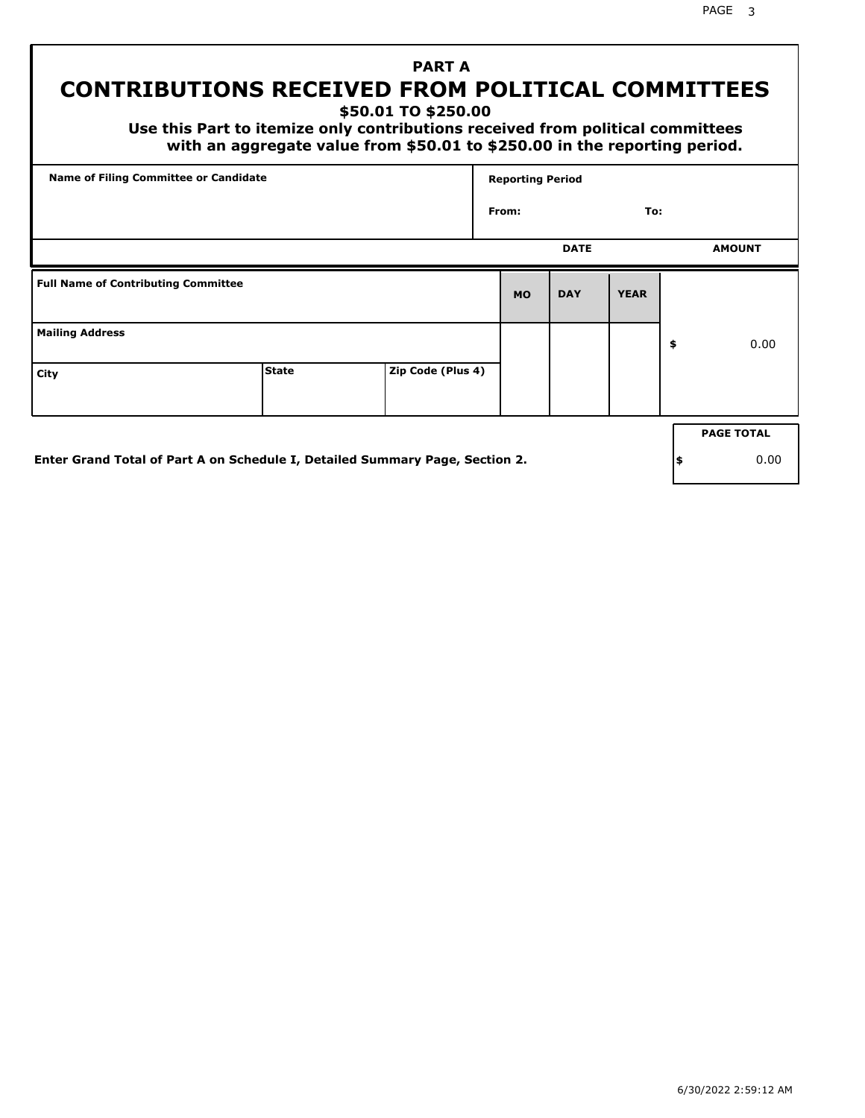# **PART A CONTRIBUTIONS RECEIVED FROM POLITICAL COMMITTEES**

**\$50.01 TO \$250.00**

 **Use this Part to itemize only contributions received from political committees with an aggregate value from \$50.01 to \$250.00 in the reporting period.**

|                                            | <b>Name of Filing Committee or Candidate</b>                                 |                   |           | <b>Reporting Period</b> |             |    |                   |
|--------------------------------------------|------------------------------------------------------------------------------|-------------------|-----------|-------------------------|-------------|----|-------------------|
|                                            |                                                                              |                   | From:     |                         | To:         |    |                   |
|                                            |                                                                              |                   |           | <b>DATE</b>             |             |    | <b>AMOUNT</b>     |
| <b>Full Name of Contributing Committee</b> |                                                                              |                   | <b>MO</b> | <b>DAY</b>              | <b>YEAR</b> |    |                   |
| <b>Mailing Address</b>                     |                                                                              |                   |           |                         |             | \$ | 0.00              |
| City                                       | <b>State</b>                                                                 | Zip Code (Plus 4) |           |                         |             |    |                   |
|                                            |                                                                              |                   |           |                         |             |    | <b>PAGE TOTAL</b> |
|                                            | Enter Grand Total of Part A on Schedule I, Detailed Summary Page, Section 2. |                   |           |                         |             | \$ | 0.00              |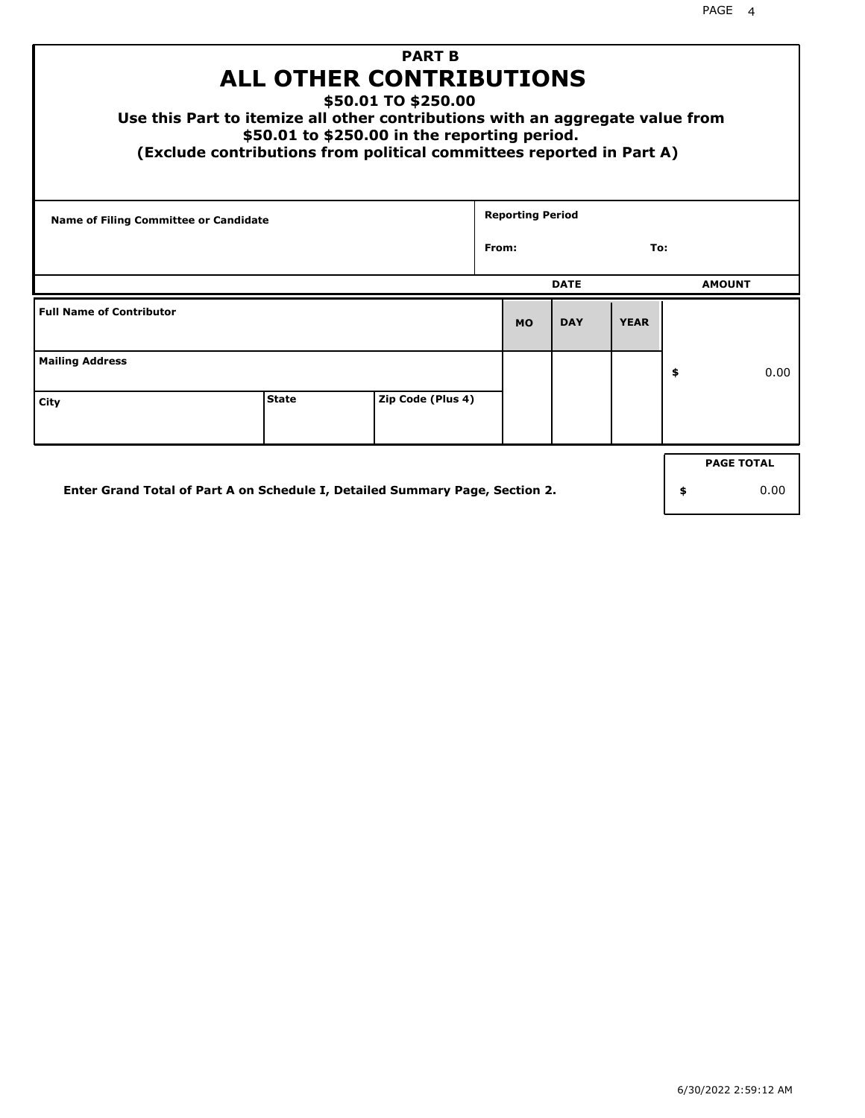| <b>PART B</b><br><b>ALL OTHER CONTRIBUTIONS</b><br>\$50.01 TO \$250.00<br>Use this Part to itemize all other contributions with an aggregate value from<br>\$50.01 to \$250.00 in the reporting period.<br>(Exclude contributions from political committees reported in Part A) |                                                                                            |                   |       |                         |             |             |    |                   |
|---------------------------------------------------------------------------------------------------------------------------------------------------------------------------------------------------------------------------------------------------------------------------------|--------------------------------------------------------------------------------------------|-------------------|-------|-------------------------|-------------|-------------|----|-------------------|
| <b>Name of Filing Committee or Candidate</b>                                                                                                                                                                                                                                    |                                                                                            |                   | From: | <b>Reporting Period</b> |             | To:         |    |                   |
|                                                                                                                                                                                                                                                                                 |                                                                                            |                   |       |                         |             |             |    |                   |
|                                                                                                                                                                                                                                                                                 |                                                                                            |                   |       |                         | <b>DATE</b> |             |    | <b>AMOUNT</b>     |
| <b>Full Name of Contributor</b>                                                                                                                                                                                                                                                 |                                                                                            |                   |       | <b>MO</b>               | <b>DAY</b>  | <b>YEAR</b> |    |                   |
| <b>Mailing Address</b>                                                                                                                                                                                                                                                          |                                                                                            |                   |       |                         |             |             | \$ | 0.00              |
| City                                                                                                                                                                                                                                                                            | <b>State</b>                                                                               | Zip Code (Plus 4) |       |                         |             |             |    |                   |
|                                                                                                                                                                                                                                                                                 |                                                                                            |                   |       |                         |             |             |    | <b>PAGE TOTAL</b> |
|                                                                                                                                                                                                                                                                                 | Enter Grand Total of Part A on Schedule I, Detailed Summary Page, Section 2.<br>0.00<br>\$ |                   |       |                         |             |             |    |                   |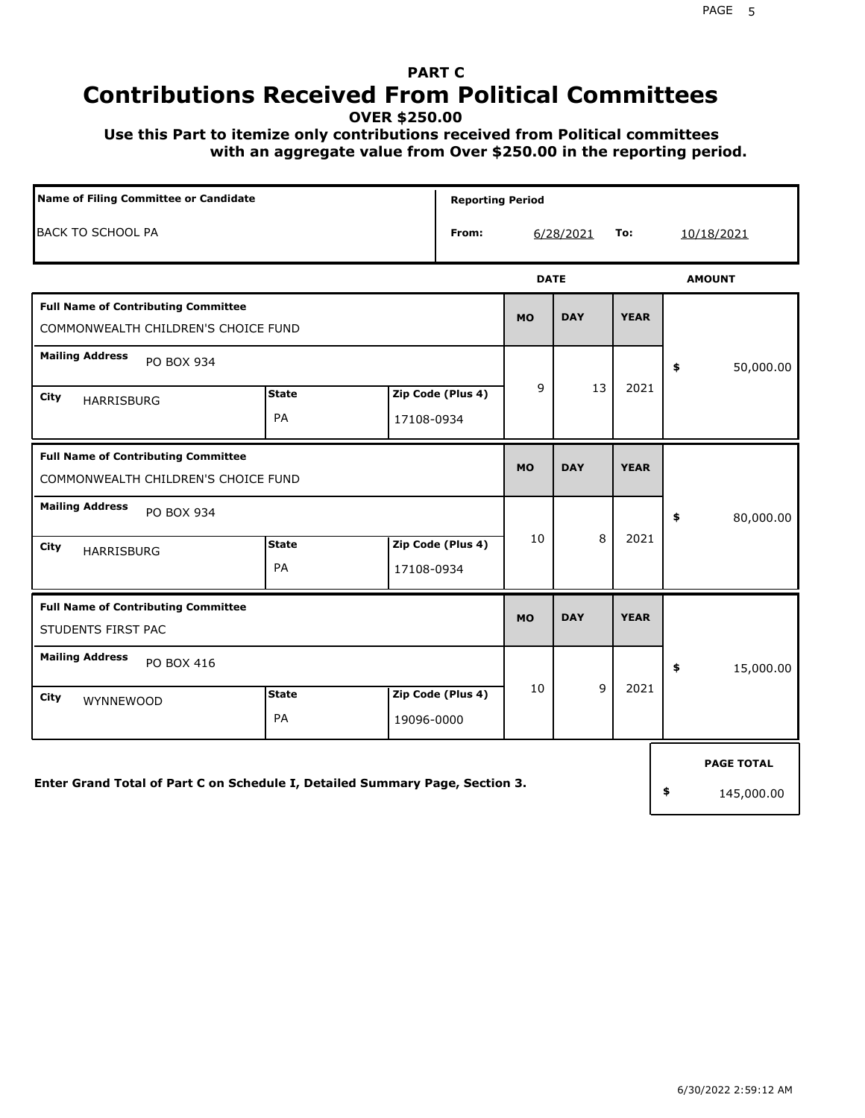# **PART C Contributions Received From Political Committees**

**OVER \$250.00**

 **Use this Part to itemize only contributions received from Political committees with an aggregate value from Over \$250.00 in the reporting period.**

| Name of Filing Committee or Candidate                                             |                           |            | <b>Reporting Period</b> |             |            |             |            |                   |  |
|-----------------------------------------------------------------------------------|---------------------------|------------|-------------------------|-------------|------------|-------------|------------|-------------------|--|
| <b>BACK TO SCHOOL PA</b>                                                          |                           |            | From:                   |             | 6/28/2021  | To:         | 10/18/2021 |                   |  |
|                                                                                   |                           |            |                         | <b>DATE</b> |            |             |            | <b>AMOUNT</b>     |  |
| <b>Full Name of Contributing Committee</b><br>COMMONWEALTH CHILDREN'S CHOICE FUND |                           |            |                         | <b>MO</b>   | <b>DAY</b> | <b>YEAR</b> |            |                   |  |
| <b>Mailing Address</b><br>PO BOX 934                                              |                           |            |                         |             |            |             | \$         | 50,000.00         |  |
| City<br><b>HARRISBURG</b>                                                         | <b>State</b><br>PA        | 17108-0934 | Zip Code (Plus 4)       | 9           | 13         | 2021        |            |                   |  |
| <b>Full Name of Contributing Committee</b><br>COMMONWEALTH CHILDREN'S CHOICE FUND | <b>MO</b>                 | <b>DAY</b> | <b>YEAR</b>             |             |            |             |            |                   |  |
| <b>Mailing Address</b><br>PO BOX 934                                              |                           |            |                         |             |            |             | \$         | 80,000.00         |  |
| City<br>HARRISBURG                                                                | <b>State</b><br>PA        | 17108-0934 | Zip Code (Plus 4)       | 10          | 8          | 2021        |            |                   |  |
| <b>Full Name of Contributing Committee</b><br>STUDENTS FIRST PAC                  |                           |            |                         | <b>MO</b>   | <b>DAY</b> | <b>YEAR</b> |            |                   |  |
| <b>Mailing Address</b><br>PO BOX 416                                              |                           |            |                         |             |            |             | \$         | 15,000.00         |  |
| City<br>WYNNEWOOD                                                                 | <b>State</b><br><b>PA</b> | 19096-0000 | Zip Code (Plus 4)       | 10          | 9          | 2021        |            |                   |  |
|                                                                                   |                           |            |                         |             |            |             |            | <b>PAGE TOTAL</b> |  |
| Enter Grand Total of Part C on Schedule I, Detailed Summary Page, Section 3.      |                           |            |                         |             |            |             | \$         | 145,000.00        |  |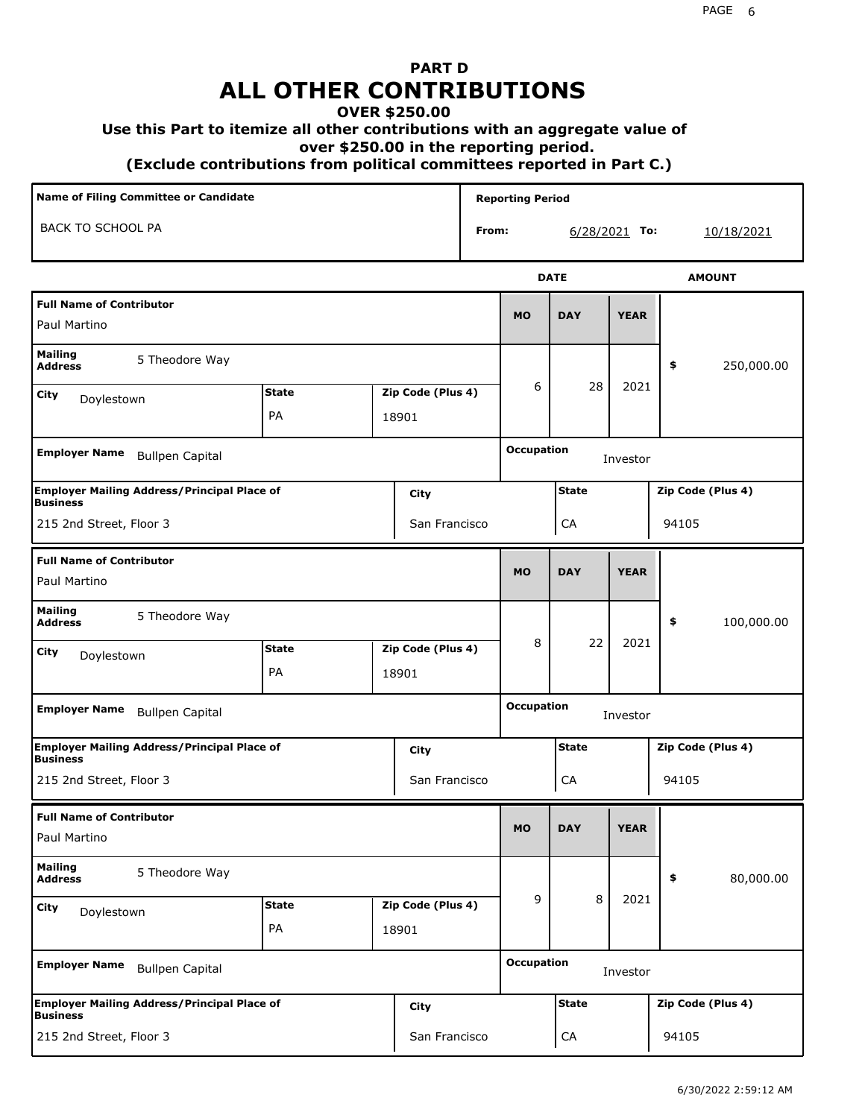# **PART D ALL OTHER CONTRIBUTIONS**

#### **OVER \$250.00**

#### **Use this Part to itemize all other contributions with an aggregate value of**

 **over \$250.00 in the reporting period.**

 **(Exclude contributions from political committees reported in Part C.)** 

| Name of Filing Committee or Candidate                                                |                                                    |                    |                            |                               | <b>Reporting Period</b> |                   |                   |             |                   |                   |  |  |
|--------------------------------------------------------------------------------------|----------------------------------------------------|--------------------|----------------------------|-------------------------------|-------------------------|-------------------|-------------------|-------------|-------------------|-------------------|--|--|
| <b>BACK TO SCHOOL PA</b>                                                             |                                                    |                    |                            |                               | From:                   |                   | $6/28/2021$ To:   |             |                   | 10/18/2021        |  |  |
|                                                                                      |                                                    |                    |                            |                               |                         |                   | <b>DATE</b>       |             |                   | <b>AMOUNT</b>     |  |  |
| <b>Full Name of Contributor</b><br>Paul Martino                                      |                                                    |                    |                            |                               |                         | <b>MO</b>         | <b>DAY</b>        | <b>YEAR</b> |                   |                   |  |  |
| <b>Mailing</b><br><b>Address</b>                                                     | 5 Theodore Way                                     |                    |                            |                               |                         |                   |                   |             | \$                | 250,000.00        |  |  |
| City<br>Doylestown                                                                   |                                                    | <b>State</b><br>PA | Zip Code (Plus 4)<br>18901 |                               |                         | 6                 | 28                | 2021        |                   |                   |  |  |
| <b>Employer Name</b><br><b>Bullpen Capital</b>                                       |                                                    |                    |                            |                               |                         |                   | <b>Occupation</b> | Investor    |                   |                   |  |  |
| <b>Employer Mailing Address/Principal Place of</b><br>City<br><b>Business</b>        |                                                    |                    |                            |                               |                         | <b>State</b>      |                   |             | Zip Code (Plus 4) |                   |  |  |
| 215 2nd Street, Floor 3<br>San Francisco                                             |                                                    |                    |                            |                               |                         | CA                |                   | 94105       |                   |                   |  |  |
| <b>Full Name of Contributor</b><br>Paul Martino                                      |                                                    |                    |                            |                               | <b>MO</b>               | <b>DAY</b>        | <b>YEAR</b>       |             |                   |                   |  |  |
| <b>Mailing</b><br>5 Theodore Way<br><b>Address</b>                                   |                                                    |                    |                            |                               |                         |                   |                   |             | \$                | 100,000.00        |  |  |
| <b>City</b><br>Doylestown                                                            |                                                    | <b>State</b><br>PA |                            | Zip Code (Plus 4)<br>18901    |                         | 8                 | 22                | 2021        |                   |                   |  |  |
| <b>Employer Name</b>                                                                 | <b>Bullpen Capital</b>                             |                    |                            |                               |                         | <b>Occupation</b> |                   | Investor    |                   |                   |  |  |
| <b>Business</b>                                                                      | <b>Employer Mailing Address/Principal Place of</b> |                    |                            | City                          |                         | <b>State</b>      |                   |             |                   | Zip Code (Plus 4) |  |  |
| 215 2nd Street, Floor 3                                                              |                                                    |                    |                            | San Francisco                 |                         |                   | CA                |             | 94105             |                   |  |  |
| <b>Full Name of Contributor</b><br>Paul Martino                                      |                                                    |                    |                            |                               |                         | <b>MO</b>         | <b>DAY</b>        | <b>YEAR</b> |                   |                   |  |  |
| <b>Mailing</b><br><b>Address</b>                                                     | 5 Theodore Way                                     |                    |                            |                               |                         |                   |                   |             | \$                | 80,000.00         |  |  |
| City<br>Doylestown                                                                   |                                                    | <b>State</b><br>PA | Zip Code (Plus 4)<br>18901 |                               |                         | 9                 | 8                 | 2021        |                   |                   |  |  |
| <b>Employer Name</b><br><b>Bullpen Capital</b>                                       |                                                    |                    |                            | <b>Occupation</b><br>Investor |                         |                   |                   |             |                   |                   |  |  |
| <b>Employer Mailing Address/Principal Place of</b><br><b>City</b><br><b>Business</b> |                                                    |                    |                            | <b>State</b>                  |                         |                   | Zip Code (Plus 4) |             |                   |                   |  |  |
| 215 2nd Street, Floor 3<br>San Francisco                                             |                                                    |                    |                            |                               |                         |                   | CA                |             | 94105             |                   |  |  |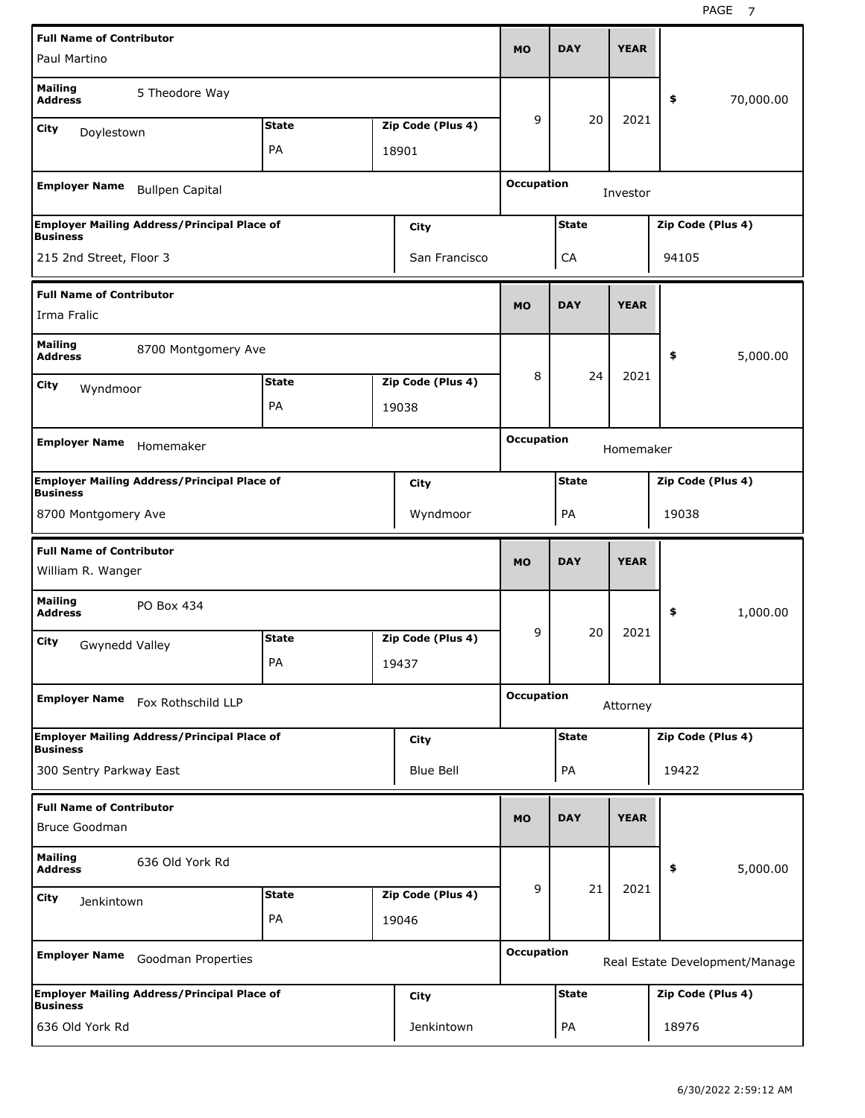| <b>Full Name of Contributor</b>                                       |                                   |       | <b>DAY</b>                                          | <b>YEAR</b>       |                                   |             |                   |           |  |
|-----------------------------------------------------------------------|-----------------------------------|-------|-----------------------------------------------------|-------------------|-----------------------------------|-------------|-------------------|-----------|--|
| Paul Martino                                                          |                                   |       |                                                     | MO                |                                   |             |                   |           |  |
| <b>Mailing</b><br>5 Theodore Way<br><b>Address</b>                    |                                   |       |                                                     |                   |                                   |             | \$                | 70,000.00 |  |
| City<br>Doylestown                                                    | <b>State</b>                      |       | Zip Code (Plus 4)                                   | 9                 | 20                                | 2021        |                   |           |  |
|                                                                       | PA                                |       | 18901                                               |                   |                                   |             |                   |           |  |
| <b>Employer Name</b><br><b>Bullpen Capital</b>                        |                                   |       |                                                     | <b>Occupation</b> |                                   | Investor    |                   |           |  |
| <b>Employer Mailing Address/Principal Place of</b>                    |                                   |       | City                                                |                   | <b>State</b><br>Zip Code (Plus 4) |             |                   |           |  |
| <b>Business</b><br>215 2nd Street, Floor 3                            |                                   |       | San Francisco                                       |                   | <b>CA</b>                         |             |                   |           |  |
|                                                                       |                                   |       |                                                     |                   |                                   |             | 94105             |           |  |
| <b>Full Name of Contributor</b>                                       |                                   |       |                                                     | <b>MO</b>         | <b>DAY</b>                        | <b>YEAR</b> |                   |           |  |
| Irma Fralic                                                           |                                   |       |                                                     |                   |                                   |             |                   |           |  |
| <b>Mailing</b><br>8700 Montgomery Ave<br><b>Address</b>               |                                   |       |                                                     |                   |                                   |             | \$                | 5,000.00  |  |
| City<br>Wyndmoor                                                      | <b>State</b>                      |       | Zip Code (Plus 4)                                   | 8                 | 24                                | 2021        |                   |           |  |
|                                                                       | PA                                |       | 19038                                               |                   |                                   |             |                   |           |  |
|                                                                       |                                   |       |                                                     | <b>Occupation</b> |                                   |             |                   |           |  |
| <b>Employer Name</b><br>Homemaker                                     |                                   |       |                                                     |                   |                                   | Homemaker   |                   |           |  |
| <b>Employer Mailing Address/Principal Place of</b><br><b>Business</b> |                                   |       | City                                                |                   | <b>State</b>                      |             | Zip Code (Plus 4) |           |  |
| 8700 Montgomery Ave<br>Wyndmoor                                       |                                   |       |                                                     |                   | PA                                |             | 19038             |           |  |
| <b>Full Name of Contributor</b>                                       |                                   |       |                                                     |                   |                                   |             |                   |           |  |
| William R. Wanger                                                     |                                   |       |                                                     | <b>MO</b>         | <b>DAY</b>                        | <b>YEAR</b> |                   |           |  |
| <b>Mailing</b><br>PO Box 434<br><b>Address</b>                        |                                   |       |                                                     |                   |                                   |             | \$                | 1,000.00  |  |
| City<br>Gwynedd Valley                                                | <b>State</b>                      |       | Zip Code (Plus 4)                                   | 9                 | 20                                | 2021        |                   |           |  |
|                                                                       | PА                                |       | 19437                                               |                   |                                   |             |                   |           |  |
| <b>Employer Name</b><br>Fox Rothschild LLP                            |                                   |       |                                                     | <b>Occupation</b> |                                   | Attorney    |                   |           |  |
|                                                                       |                                   |       |                                                     |                   |                                   |             |                   |           |  |
| <b>Employer Mailing Address/Principal Place of</b><br><b>Business</b> |                                   |       | City                                                |                   | <b>State</b>                      |             | Zip Code (Plus 4) |           |  |
| 300 Sentry Parkway East                                               |                                   |       | Blue Bell                                           |                   | PA                                |             | 19422             |           |  |
| <b>Full Name of Contributor</b>                                       |                                   |       |                                                     |                   |                                   |             |                   |           |  |
| Bruce Goodman                                                         |                                   |       |                                                     | <b>MO</b>         | <b>DAY</b>                        | <b>YEAR</b> |                   |           |  |
| <b>Mailing</b><br>636 Old York Rd<br><b>Address</b>                   |                                   |       |                                                     |                   |                                   |             | \$                | 5,000.00  |  |
| <b>City</b><br>Jenkintown                                             | Zip Code (Plus 4)<br><b>State</b> |       | 9                                                   | 21                | 2021                              |             |                   |           |  |
|                                                                       | PA                                | 19046 |                                                     |                   |                                   |             |                   |           |  |
| <b>Employer Name</b><br>Goodman Properties                            |                                   |       | <b>Occupation</b><br>Real Estate Development/Manage |                   |                                   |             |                   |           |  |
|                                                                       |                                   |       |                                                     |                   |                                   |             |                   |           |  |
| <b>Employer Mailing Address/Principal Place of</b><br><b>Business</b> |                                   |       | City                                                |                   | <b>State</b>                      |             | Zip Code (Plus 4) |           |  |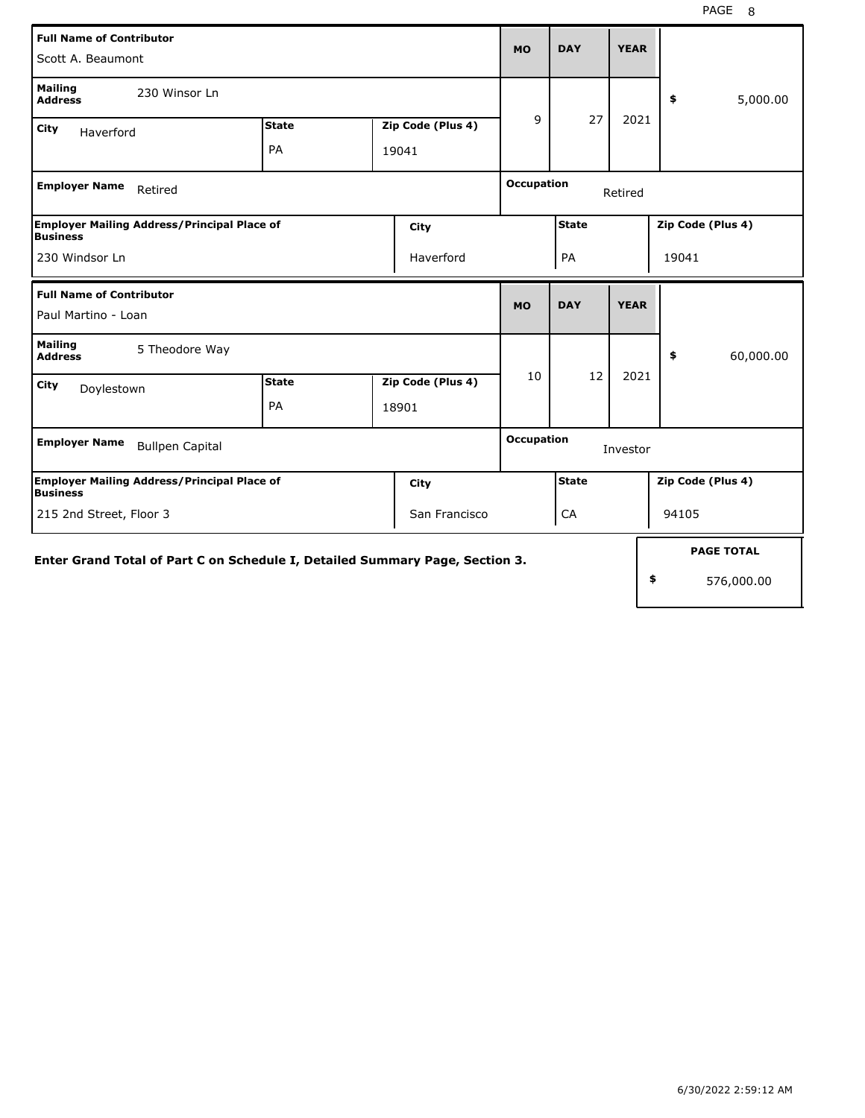| <b>Full Name of Contributor</b><br>Scott A. Beaumont                          |                              |            |                   |                   | <b>DAY</b>   | <b>YEAR</b> |    |                   |
|-------------------------------------------------------------------------------|------------------------------|------------|-------------------|-------------------|--------------|-------------|----|-------------------|
| <b>Mailing</b><br>230 Winsor Ln<br><b>Address</b>                             |                              |            |                   |                   |              |             |    | \$<br>5,000.00    |
| City<br>Haverford                                                             | <b>State</b>                 |            | Zip Code (Plus 4) | 9                 | 27           | 2021        |    |                   |
|                                                                               | PA                           |            | 19041             |                   |              |             |    |                   |
| <b>Employer Name</b><br>Retired                                               | <b>Occupation</b><br>Retired |            |                   |                   |              |             |    |                   |
| <b>Employer Mailing Address/Principal Place of</b><br>City<br><b>Business</b> |                              |            |                   |                   | <b>State</b> |             |    | Zip Code (Plus 4) |
| 230 Windsor Ln                                                                |                              | PA         |                   |                   | 19041        |             |    |                   |
| <b>Full Name of Contributor</b>                                               | <b>MO</b>                    | <b>DAY</b> | <b>YEAR</b>       |                   |              |             |    |                   |
| Paul Martino - Loan                                                           |                              |            |                   |                   |              |             |    |                   |
| <b>Mailing</b><br>5 Theodore Way<br><b>Address</b>                            |                              |            |                   |                   |              |             |    | 60,000.00<br>\$   |
| City<br>Doylestown                                                            | <b>State</b>                 |            | Zip Code (Plus 4) | 10                | 12           | 2021        |    |                   |
|                                                                               | PA                           |            | 18901             |                   |              |             |    |                   |
| <b>Employer Name</b><br><b>Bullpen Capital</b>                                |                              |            |                   | <b>Occupation</b> |              | Investor    |    |                   |
| <b>Employer Mailing Address/Principal Place of</b><br><b>Business</b>         |                              |            | City              |                   | <b>State</b> |             |    | Zip Code (Plus 4) |
| 215 2nd Street, Floor 3<br>San Francisco                                      |                              |            |                   |                   | CA           |             |    | 94105             |
| Enter Grand Total of Part C on Schedule I, Detailed Summary Page, Section 3.  |                              |            |                   |                   |              |             |    | <b>PAGE TOTAL</b> |
|                                                                               |                              |            |                   |                   |              |             | \$ | 576,000.00        |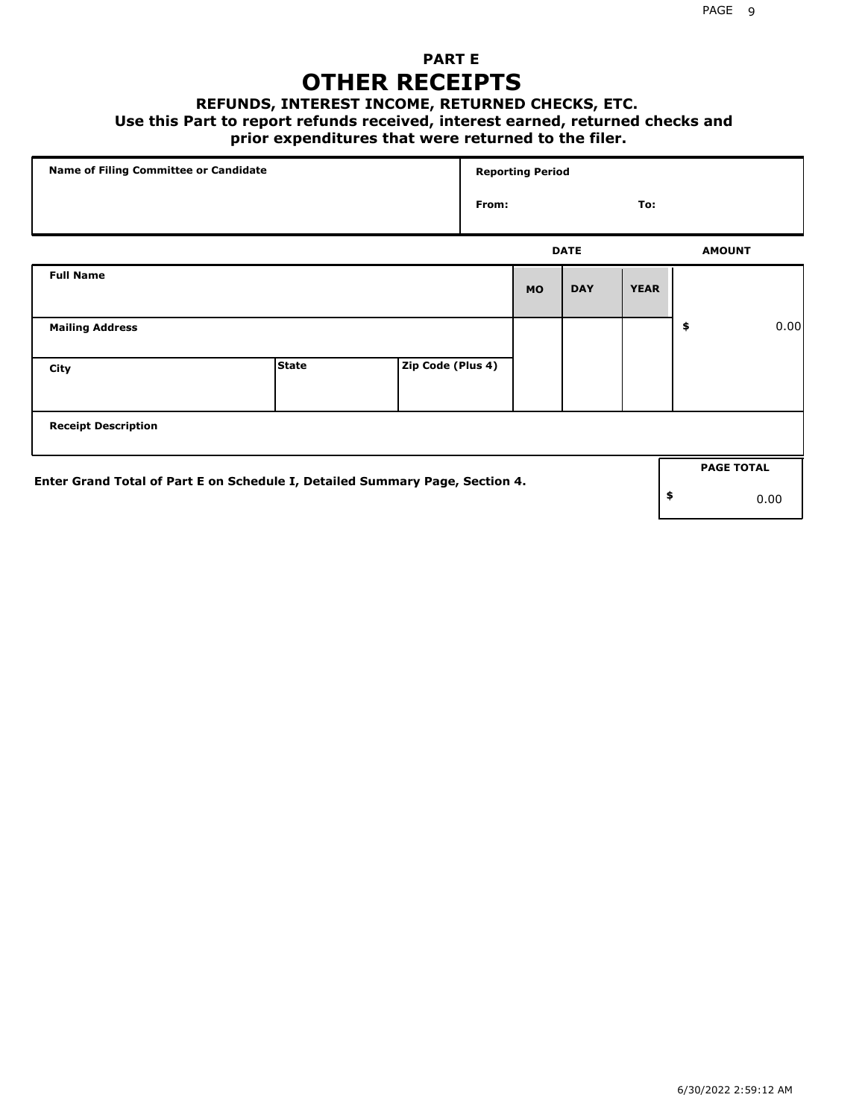## **PART E OTHER RECEIPTS**

#### **REFUNDS, INTEREST INCOME, RETURNED CHECKS, ETC.**

 **Use this Part to report refunds received, interest earned, returned checks and**

## **prior expenditures that were returned to the filer.**

| Name of Filing Committee or Candidate                                        |              |                   | <b>Reporting Period</b> |           |             |             |    |                   |      |
|------------------------------------------------------------------------------|--------------|-------------------|-------------------------|-----------|-------------|-------------|----|-------------------|------|
|                                                                              |              |                   | From:                   |           |             | To:         |    |                   |      |
|                                                                              |              |                   |                         |           | <b>DATE</b> |             |    | <b>AMOUNT</b>     |      |
| <b>Full Name</b>                                                             |              |                   |                         | <b>MO</b> | <b>DAY</b>  | <b>YEAR</b> |    |                   |      |
| <b>Mailing Address</b>                                                       |              |                   |                         |           |             |             | \$ |                   | 0.00 |
| City                                                                         | <b>State</b> | Zip Code (Plus 4) |                         |           |             |             |    |                   |      |
| <b>Receipt Description</b>                                                   |              |                   |                         |           |             |             |    |                   |      |
| Enter Grand Total of Part E on Schedule I, Detailed Summary Page, Section 4. |              |                   |                         |           |             |             |    | <b>PAGE TOTAL</b> |      |
|                                                                              |              |                   |                         |           |             |             | \$ |                   | 0.00 |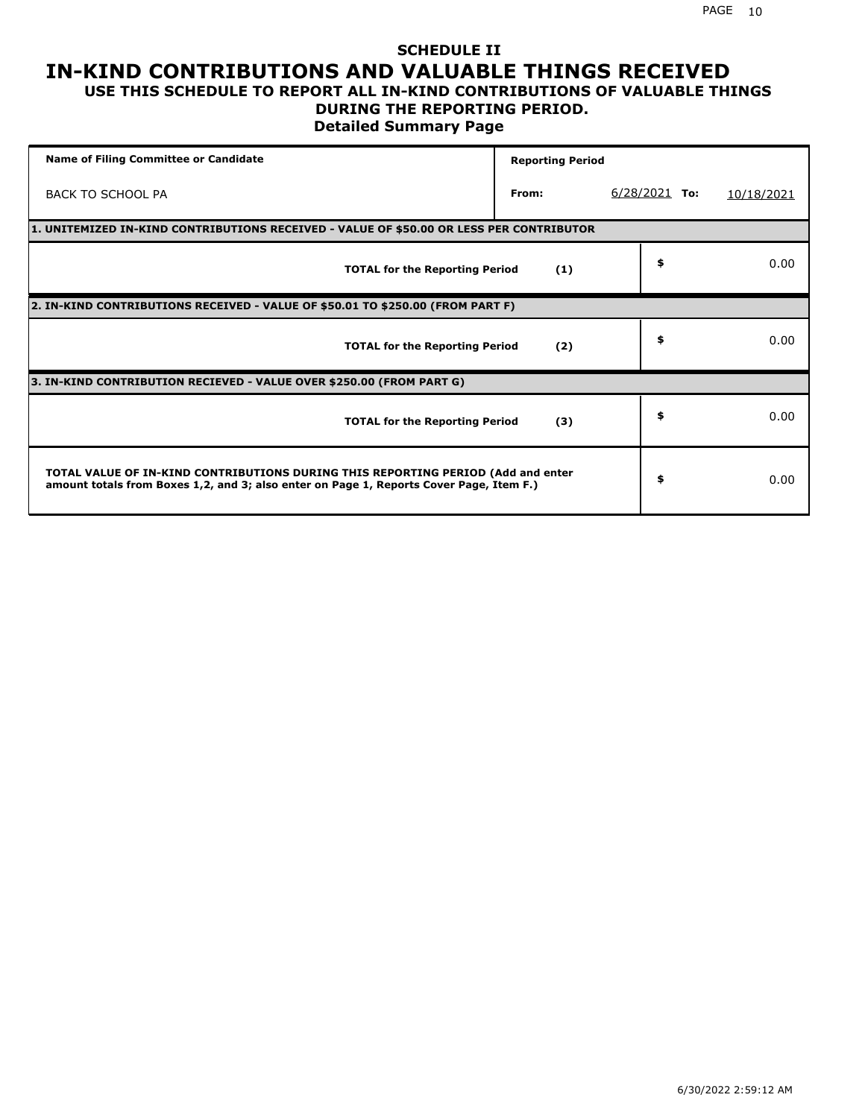#### **SCHEDULE II IN-KIND CONTRIBUTIONS AND VALUABLE THINGS RECEIVED USE THIS SCHEDULE TO REPORT ALL IN-KIND CONTRIBUTIONS OF VALUABLE THINGS**

### **DURING THE REPORTING PERIOD.**

**Detailed Summary Page**

| <b>Name of Filing Committee or Candidate</b>                                                                                                                                | <b>Reporting Period</b> |                 |            |
|-----------------------------------------------------------------------------------------------------------------------------------------------------------------------------|-------------------------|-----------------|------------|
| <b>BACK TO SCHOOL PA</b>                                                                                                                                                    | From:                   | $6/28/2021$ To: | 10/18/2021 |
| 1. UNITEMIZED IN-KIND CONTRIBUTIONS RECEIVED - VALUE OF \$50.00 OR LESS PER CONTRIBUTOR                                                                                     |                         |                 |            |
| <b>TOTAL for the Reporting Period</b>                                                                                                                                       | (1)                     | \$              | 0.00       |
| 2. IN-KIND CONTRIBUTIONS RECEIVED - VALUE OF \$50.01 TO \$250.00 (FROM PART F)                                                                                              |                         |                 |            |
| <b>TOTAL for the Reporting Period</b>                                                                                                                                       | (2)                     | \$              | 0.00       |
| 3. IN-KIND CONTRIBUTION RECIEVED - VALUE OVER \$250.00 (FROM PART G)                                                                                                        |                         |                 |            |
| <b>TOTAL for the Reporting Period</b>                                                                                                                                       | (3)                     | \$              | 0.00       |
| TOTAL VALUE OF IN-KIND CONTRIBUTIONS DURING THIS REPORTING PERIOD (Add and enter<br>amount totals from Boxes 1,2, and 3; also enter on Page 1, Reports Cover Page, Item F.) |                         | \$              | 0.00       |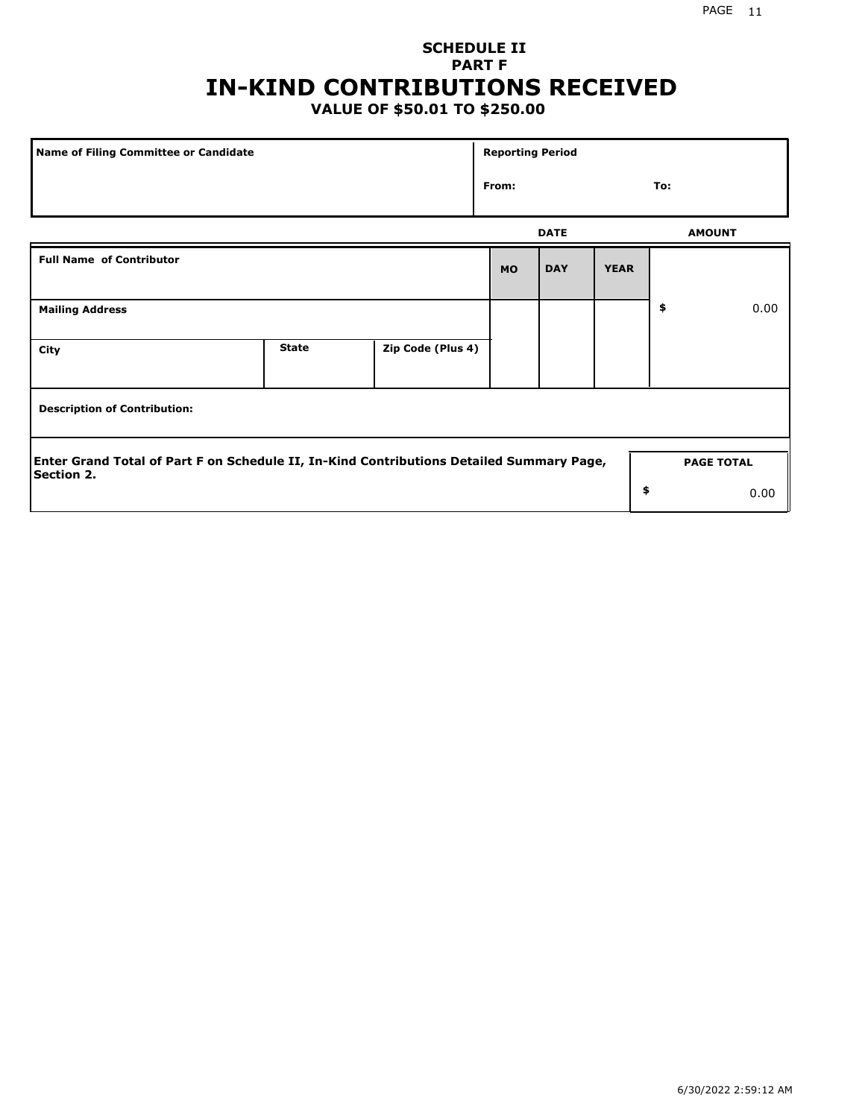# **SCHEDULE II PART F IN-KIND CONTRIBUTIONS RECEIVED**

## **VALUE OF \$50.01 TO \$250.00**

| Name of Filing Committee or Candidate                                                                         |              |                   |           | <b>Reporting Period</b> |                   |    |               |  |  |
|---------------------------------------------------------------------------------------------------------------|--------------|-------------------|-----------|-------------------------|-------------------|----|---------------|--|--|
|                                                                                                               | From:        |                   |           | To:                     |                   |    |               |  |  |
|                                                                                                               |              |                   |           | <b>DATE</b>             |                   |    | <b>AMOUNT</b> |  |  |
| <b>Full Name of Contributor</b>                                                                               |              |                   | <b>MO</b> | <b>DAY</b>              | <b>YEAR</b>       |    |               |  |  |
| <b>Mailing Address</b>                                                                                        |              |                   |           |                         |                   | \$ | 0.00          |  |  |
| City                                                                                                          | <b>State</b> | Zip Code (Plus 4) |           |                         |                   |    |               |  |  |
| <b>Description of Contribution:</b>                                                                           |              |                   |           |                         |                   |    |               |  |  |
| Enter Grand Total of Part F on Schedule II, In-Kind Contributions Detailed Summary Page,<br><b>Section 2.</b> |              |                   |           |                         | <b>PAGE TOTAL</b> |    |               |  |  |
|                                                                                                               |              |                   |           |                         | \$                |    | 0.00          |  |  |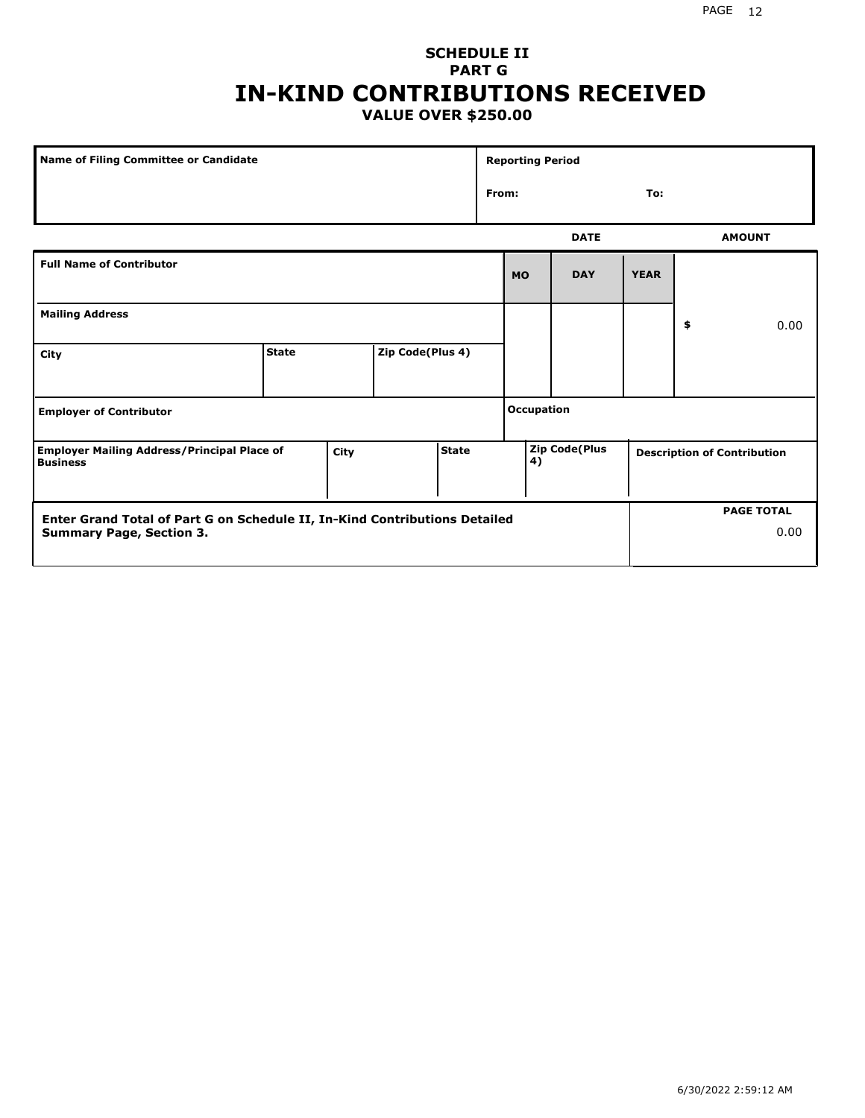#### PAGE 12

### **SCHEDULE II PART G IN-KIND CONTRIBUTIONS RECEIVED VALUE OVER \$250.00**

| Name of Filing Committee or Candidate                                                         |              |  |                  |  | <b>Reporting Period</b>            |              |                   |                                    |    |               |
|-----------------------------------------------------------------------------------------------|--------------|--|------------------|--|------------------------------------|--------------|-------------------|------------------------------------|----|---------------|
|                                                                                               |              |  |                  |  |                                    | From:<br>To: |                   |                                    |    |               |
|                                                                                               |              |  |                  |  |                                    |              | <b>DATE</b>       |                                    |    | <b>AMOUNT</b> |
| <b>Full Name of Contributor</b>                                                               |              |  |                  |  |                                    | <b>MO</b>    | <b>DAY</b>        | <b>YEAR</b>                        |    |               |
| <b>Mailing Address</b>                                                                        |              |  |                  |  |                                    |              |                   |                                    | \$ | 0.00          |
| City                                                                                          | <b>State</b> |  | Zip Code(Plus 4) |  |                                    |              |                   |                                    |    |               |
| <b>Employer of Contributor</b>                                                                |              |  |                  |  |                                    |              | <b>Occupation</b> |                                    |    |               |
| <b>State</b><br><b>Employer Mailing Address/Principal Place of</b><br>City<br><b>Business</b> |              |  |                  |  | <b>Zip Code(Plus</b><br>$\vert 4)$ |              |                   | <b>Description of Contribution</b> |    |               |

| <b>Enter Grand Total of Part G on Schedule II, In-Kind Contributions Detailed</b> | <b>PAGE TOTAL</b> |
|-----------------------------------------------------------------------------------|-------------------|
| <b>Summary Page, Section 3.</b>                                                   | 0.00              |
|                                                                                   |                   |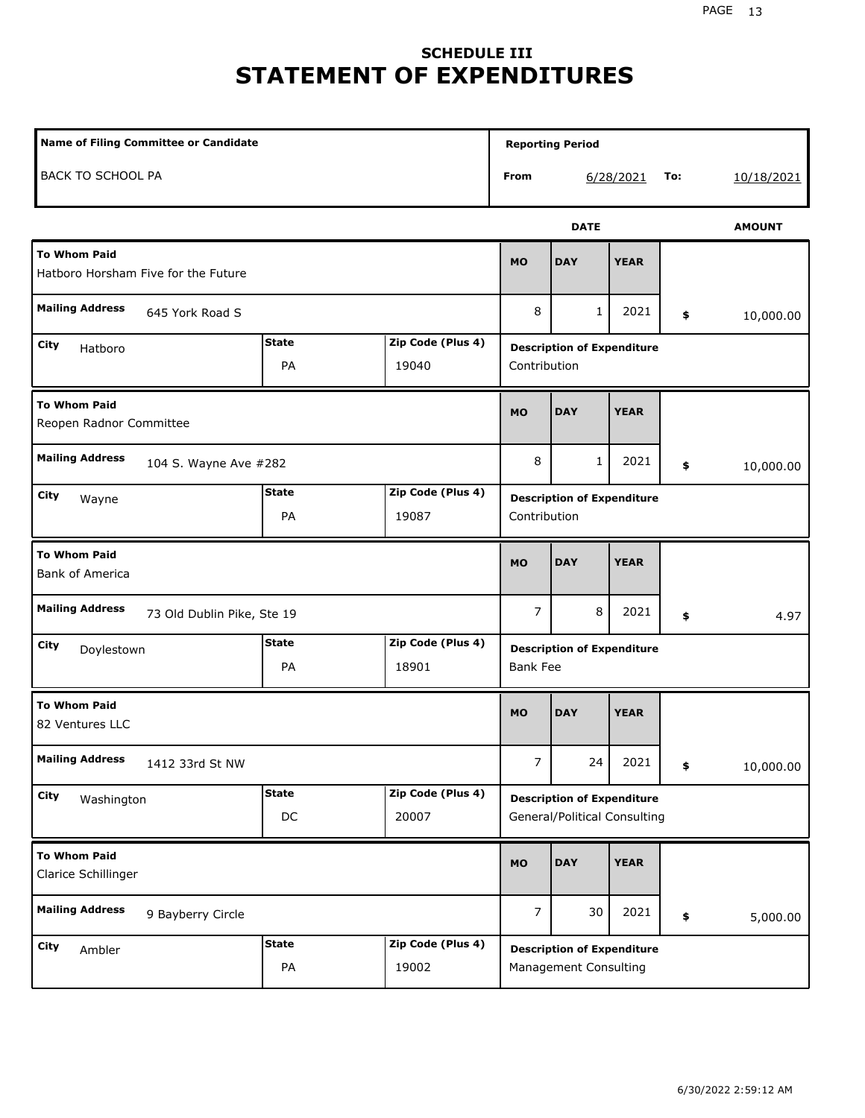# **SCHEDULE III STATEMENT OF EXPENDITURES**

| Name of Filing Committee or Candidate                      |                    |                            |                 | <b>Reporting Period</b>                                           |             |     |               |
|------------------------------------------------------------|--------------------|----------------------------|-----------------|-------------------------------------------------------------------|-------------|-----|---------------|
| BACK TO SCHOOL PA                                          |                    |                            | From            |                                                                   | 6/28/2021   | To: | 10/18/2021    |
|                                                            |                    |                            |                 | <b>DATE</b>                                                       |             |     | <b>AMOUNT</b> |
| <b>To Whom Paid</b><br>Hatboro Horsham Five for the Future |                    |                            | <b>MO</b>       | <b>DAY</b>                                                        | <b>YEAR</b> |     |               |
| <b>Mailing Address</b><br>645 York Road S                  |                    |                            | 8               | 1                                                                 | 2021        | \$  | 10,000.00     |
| City<br>Hatboro                                            | <b>State</b><br>PA | Zip Code (Plus 4)<br>19040 | Contribution    | <b>Description of Expenditure</b>                                 |             |     |               |
| <b>To Whom Paid</b><br>Reopen Radnor Committee             |                    |                            | <b>MO</b>       | <b>DAY</b>                                                        | <b>YEAR</b> |     |               |
| <b>Mailing Address</b><br>104 S. Wayne Ave #282            |                    |                            | 8               | 1                                                                 | 2021        | \$  | 10,000.00     |
| City<br>Wayne                                              | <b>State</b><br>PA | Zip Code (Plus 4)<br>19087 | Contribution    | <b>Description of Expenditure</b>                                 |             |     |               |
| <b>To Whom Paid</b><br><b>Bank of America</b>              |                    |                            | <b>MO</b>       | <b>DAY</b>                                                        | <b>YEAR</b> |     |               |
| <b>Mailing Address</b><br>73 Old Dublin Pike, Ste 19       |                    |                            | 7               | 8                                                                 | 2021        | \$  | 4.97          |
| City<br>Doylestown                                         | <b>State</b><br>PA | Zip Code (Plus 4)<br>18901 | <b>Bank Fee</b> | <b>Description of Expenditure</b>                                 |             |     |               |
| <b>To Whom Paid</b><br>82 Ventures LLC                     |                    |                            | <b>MO</b>       | <b>DAY</b>                                                        | <b>YEAR</b> |     |               |
| <b>Mailing Address</b><br>1412 33rd St NW                  |                    |                            | $\overline{7}$  | 24                                                                | 2021        | \$  | 10,000.00     |
| City<br>Washington                                         | <b>State</b><br>DC | Zip Code (Plus 4)<br>20007 |                 | <b>Description of Expenditure</b><br>General/Political Consulting |             |     |               |
| <b>To Whom Paid</b><br>Clarice Schillinger                 |                    |                            | <b>MO</b>       | <b>DAY</b>                                                        | <b>YEAR</b> |     |               |
| <b>Mailing Address</b><br>9 Bayberry Circle                |                    |                            | $\overline{7}$  | 30                                                                | 2021        | \$  | 5,000.00      |
| City<br>Ambler                                             | <b>State</b><br>PA | Zip Code (Plus 4)<br>19002 |                 | <b>Description of Expenditure</b><br><b>Management Consulting</b> |             |     |               |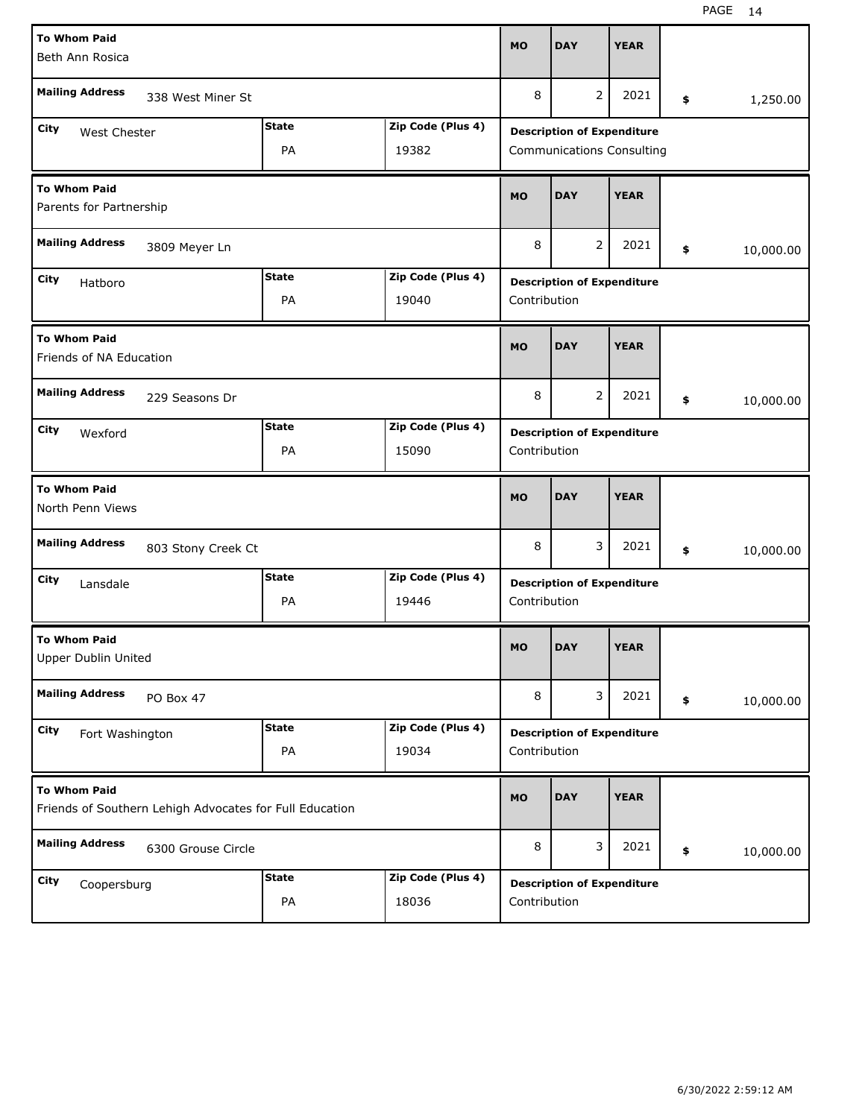| <b>To Whom Paid</b><br>Beth Ann Rosica         |                                                         |              |                   | <b>MO</b>    | <b>DAY</b>                        | <b>YEAR</b> |                 |
|------------------------------------------------|---------------------------------------------------------|--------------|-------------------|--------------|-----------------------------------|-------------|-----------------|
| <b>Mailing Address</b>                         | 338 West Miner St                                       |              |                   | 8            | $\overline{2}$                    | 2021        | \$<br>1,250.00  |
| City<br>West Chester                           |                                                         | <b>State</b> | Zip Code (Plus 4) |              | <b>Description of Expenditure</b> |             |                 |
|                                                |                                                         | PA           | 19382             |              | <b>Communications Consulting</b>  |             |                 |
| <b>To Whom Paid</b><br>Parents for Partnership |                                                         |              |                   | <b>MO</b>    | <b>DAY</b>                        | <b>YEAR</b> |                 |
| <b>Mailing Address</b>                         | 3809 Meyer Ln                                           |              |                   | 8            | 2                                 | 2021        | \$<br>10,000.00 |
| City<br>Hatboro                                |                                                         | <b>State</b> | Zip Code (Plus 4) |              | <b>Description of Expenditure</b> |             |                 |
|                                                |                                                         | PA           | 19040             | Contribution |                                   |             |                 |
| <b>To Whom Paid</b><br>Friends of NA Education |                                                         |              |                   | <b>MO</b>    | <b>DAY</b>                        | <b>YEAR</b> |                 |
| <b>Mailing Address</b>                         | 229 Seasons Dr                                          |              |                   | 8            | 2                                 | 2021        | \$<br>10,000.00 |
| City<br>Wexford                                |                                                         | <b>State</b> | Zip Code (Plus 4) |              | <b>Description of Expenditure</b> |             |                 |
|                                                |                                                         | PA           | 15090             | Contribution |                                   |             |                 |
| <b>To Whom Paid</b>                            |                                                         |              |                   |              |                                   |             |                 |
| North Penn Views                               |                                                         |              |                   | <b>MO</b>    | <b>DAY</b>                        | <b>YEAR</b> |                 |
| <b>Mailing Address</b>                         | 803 Stony Creek Ct                                      |              |                   | 8            | 3                                 | 2021        | \$<br>10,000.00 |
| City                                           |                                                         | <b>State</b> | Zip Code (Plus 4) |              |                                   |             |                 |
| Lansdale                                       |                                                         | PA           | 19446             | Contribution | <b>Description of Expenditure</b> |             |                 |
| <b>To Whom Paid</b><br>Upper Dublin United     |                                                         |              |                   | <b>MO</b>    | <b>DAY</b>                        | <b>YEAR</b> |                 |
| <b>Mailing Address</b>                         | PO Box 47                                               |              |                   | 8            | 3                                 | 2021        | \$<br>10,000.00 |
| City                                           |                                                         | <b>State</b> | Zip Code (Plus 4) |              | <b>Description of Expenditure</b> |             |                 |
| Fort Washington                                |                                                         | PA           | 19034             | Contribution |                                   |             |                 |
| <b>To Whom Paid</b>                            | Friends of Southern Lehigh Advocates for Full Education |              |                   | <b>MO</b>    | <b>DAY</b>                        | <b>YEAR</b> |                 |
| <b>Mailing Address</b>                         | 6300 Grouse Circle                                      |              |                   | 8            | 3                                 | 2021        | \$<br>10,000.00 |
| City<br>Coopersburg                            |                                                         | <b>State</b> | Zip Code (Plus 4) |              | <b>Description of Expenditure</b> |             |                 |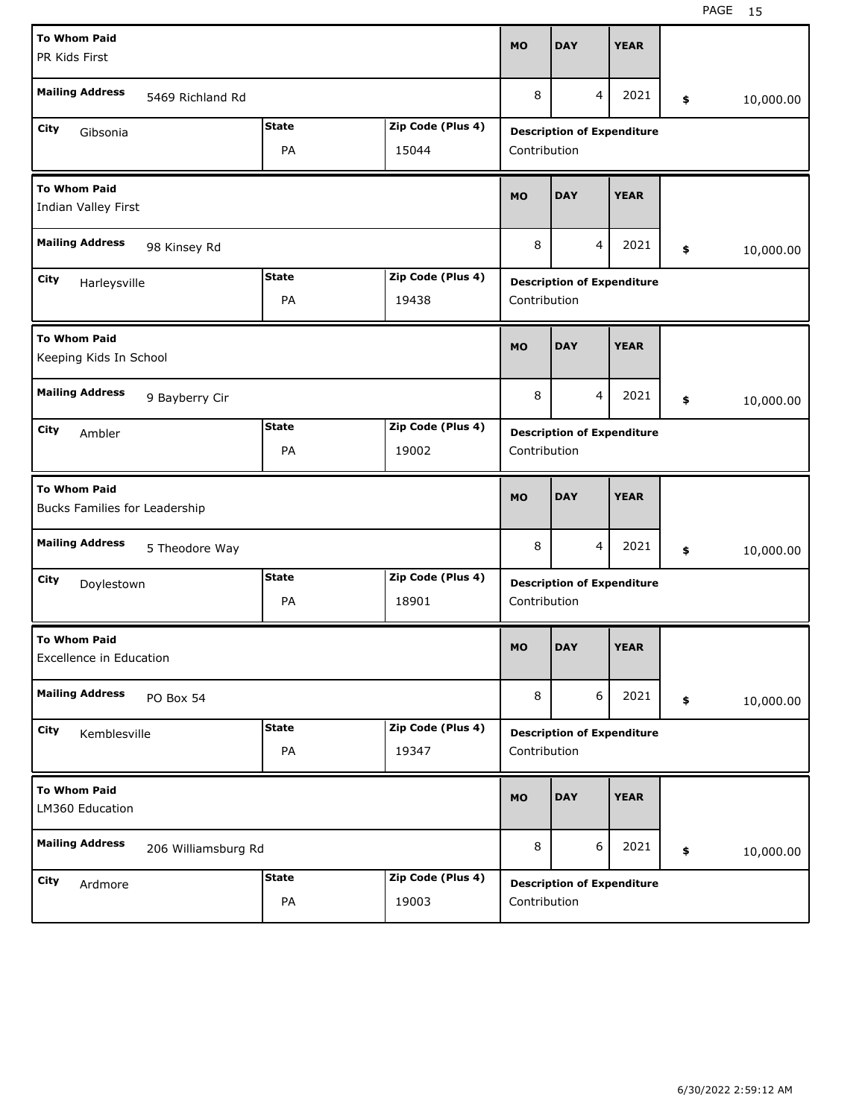| <b>To Whom Paid</b>                                   |                     |              |                   | <b>MO</b>    | <b>DAY</b>                        | <b>YEAR</b> |                 |
|-------------------------------------------------------|---------------------|--------------|-------------------|--------------|-----------------------------------|-------------|-----------------|
| PR Kids First                                         |                     |              |                   |              |                                   |             |                 |
| <b>Mailing Address</b>                                | 5469 Richland Rd    |              |                   | 8            | 4                                 | 2021        | \$<br>10,000.00 |
| City<br>Gibsonia                                      |                     | <b>State</b> | Zip Code (Plus 4) |              | <b>Description of Expenditure</b> |             |                 |
|                                                       |                     | PA           | 15044             | Contribution |                                   |             |                 |
| <b>To Whom Paid</b><br>Indian Valley First            |                     |              |                   | <b>MO</b>    | <b>DAY</b>                        | <b>YEAR</b> |                 |
| <b>Mailing Address</b>                                | 98 Kinsey Rd        |              |                   | 8            | 4                                 | 2021        | \$<br>10,000.00 |
| City<br>Harleysville                                  |                     | <b>State</b> | Zip Code (Plus 4) |              | <b>Description of Expenditure</b> |             |                 |
|                                                       |                     | PA           | 19438             | Contribution |                                   |             |                 |
| <b>To Whom Paid</b><br>Keeping Kids In School         |                     |              |                   | <b>MO</b>    | <b>DAY</b>                        | <b>YEAR</b> |                 |
| <b>Mailing Address</b>                                | 9 Bayberry Cir      |              |                   | 8            | 4                                 | 2021        | \$<br>10,000.00 |
| City<br>Ambler                                        |                     | <b>State</b> | Zip Code (Plus 4) |              | <b>Description of Expenditure</b> |             |                 |
|                                                       |                     | PA           | 19002             | Contribution |                                   |             |                 |
|                                                       |                     |              |                   |              |                                   |             |                 |
| <b>To Whom Paid</b><br>Bucks Families for Leadership  |                     |              |                   | <b>MO</b>    | <b>DAY</b>                        | <b>YEAR</b> |                 |
| <b>Mailing Address</b>                                | 5 Theodore Way      |              |                   | 8            | 4                                 | 2021        | \$<br>10,000.00 |
| City<br>Doylestown                                    |                     | <b>State</b> | Zip Code (Plus 4) |              | <b>Description of Expenditure</b> |             |                 |
|                                                       |                     | PA           | 18901             | Contribution |                                   |             |                 |
| <b>To Whom Paid</b><br><b>Excellence in Education</b> |                     |              |                   | <b>MO</b>    | <b>DAY</b>                        | <b>YEAR</b> |                 |
| <b>Mailing Address</b>                                | PO Box 54           |              |                   | 8            | 6                                 | 2021        | \$<br>10,000.00 |
| City<br>Kemblesville                                  |                     | <b>State</b> | Zip Code (Plus 4) |              | <b>Description of Expenditure</b> |             |                 |
|                                                       |                     | PA           | 19347             | Contribution |                                   |             |                 |
| <b>To Whom Paid</b><br>LM360 Education                |                     |              |                   | <b>MO</b>    | <b>DAY</b>                        | <b>YEAR</b> |                 |
| <b>Mailing Address</b>                                | 206 Williamsburg Rd |              |                   | 8            | 6                                 | 2021        | \$<br>10,000.00 |
| City<br>Ardmore                                       |                     | <b>State</b> | Zip Code (Plus 4) |              | <b>Description of Expenditure</b> |             |                 |

H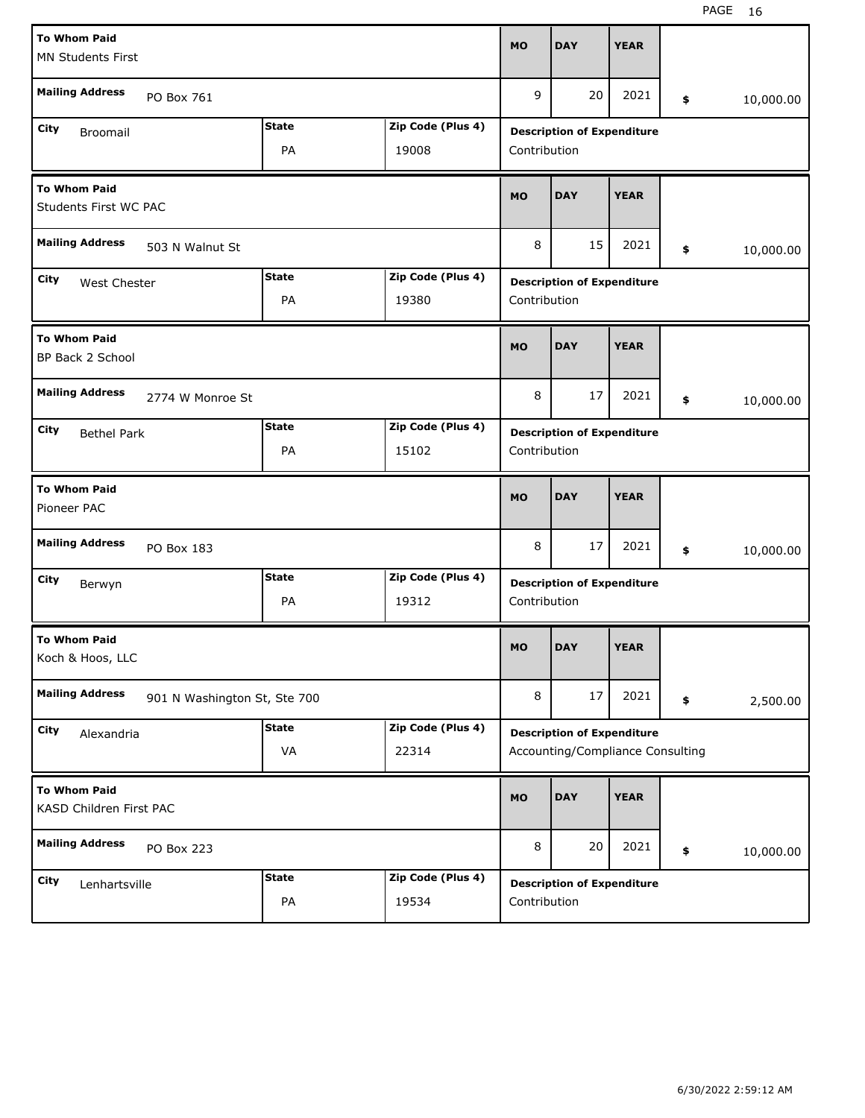| <b>To Whom Paid</b>                                    |              |                   | <b>MO</b>    | <b>DAY</b>                        | <b>YEAR</b> |                 |
|--------------------------------------------------------|--------------|-------------------|--------------|-----------------------------------|-------------|-----------------|
| <b>MN Students First</b>                               |              |                   |              |                                   |             |                 |
|                                                        |              |                   |              |                                   |             |                 |
| <b>Mailing Address</b><br>PO Box 761                   |              |                   | 9            | 20                                | 2021        | \$<br>10,000.00 |
|                                                        |              |                   |              |                                   |             |                 |
| City<br><b>Broomail</b>                                | <b>State</b> | Zip Code (Plus 4) |              | <b>Description of Expenditure</b> |             |                 |
|                                                        | PA           | 19008             | Contribution |                                   |             |                 |
|                                                        |              |                   |              |                                   |             |                 |
| <b>To Whom Paid</b>                                    |              |                   | <b>MO</b>    | <b>DAY</b>                        | <b>YEAR</b> |                 |
| Students First WC PAC                                  |              |                   |              |                                   |             |                 |
|                                                        |              |                   |              |                                   |             |                 |
| <b>Mailing Address</b><br>503 N Walnut St              |              |                   | 8            | 15                                | 2021        | \$<br>10,000.00 |
|                                                        | <b>State</b> | Zip Code (Plus 4) |              |                                   |             |                 |
| City<br>West Chester                                   |              |                   |              | <b>Description of Expenditure</b> |             |                 |
|                                                        | PA           | 19380             | Contribution |                                   |             |                 |
|                                                        |              |                   |              |                                   |             |                 |
| <b>To Whom Paid</b>                                    |              |                   | <b>MO</b>    | <b>DAY</b>                        | <b>YEAR</b> |                 |
| BP Back 2 School                                       |              |                   |              |                                   |             |                 |
| <b>Mailing Address</b>                                 |              |                   |              |                                   |             |                 |
| 2774 W Monroe St                                       |              |                   | 8            | 17                                | 2021        | \$<br>10,000.00 |
| City                                                   | <b>State</b> | Zip Code (Plus 4) |              |                                   |             |                 |
| <b>Bethel Park</b>                                     |              |                   |              | <b>Description of Expenditure</b> |             |                 |
|                                                        | PA           | 15102             | Contribution |                                   |             |                 |
|                                                        |              |                   |              |                                   |             |                 |
|                                                        |              |                   |              |                                   |             |                 |
| <b>To Whom Paid</b>                                    |              |                   | <b>MO</b>    | <b>DAY</b>                        | <b>YEAR</b> |                 |
| Pioneer PAC                                            |              |                   |              |                                   |             |                 |
|                                                        |              |                   |              |                                   |             |                 |
| <b>Mailing Address</b><br>PO Box 183                   |              |                   | 8            | 17                                | 2021        | \$<br>10,000.00 |
|                                                        | <b>State</b> | Zip Code (Plus 4) |              |                                   |             |                 |
| City<br>Berwyn                                         |              |                   |              | <b>Description of Expenditure</b> |             |                 |
|                                                        | PA           | 19312             | Contribution |                                   |             |                 |
|                                                        |              |                   |              |                                   |             |                 |
| <b>To Whom Paid</b>                                    |              |                   | <b>MO</b>    | <b>DAY</b>                        | <b>YEAR</b> |                 |
| Koch & Hoos, LLC                                       |              |                   |              |                                   |             |                 |
|                                                        |              |                   |              |                                   |             |                 |
| <b>Mailing Address</b><br>901 N Washington St, Ste 700 |              |                   | 8            | 17                                | 2021        | \$<br>2,500.00  |
| City                                                   | <b>State</b> | Zip Code (Plus 4) |              |                                   |             |                 |
| Alexandria                                             |              |                   |              | <b>Description of Expenditure</b> |             |                 |
|                                                        | VA           | 22314             |              | Accounting/Compliance Consulting  |             |                 |
|                                                        |              |                   |              |                                   |             |                 |
| <b>To Whom Paid</b>                                    |              |                   | <b>MO</b>    | <b>DAY</b>                        | <b>YEAR</b> |                 |
| KASD Children First PAC                                |              |                   |              |                                   |             |                 |
|                                                        |              |                   |              |                                   |             |                 |
| <b>Mailing Address</b><br>PO Box 223                   |              |                   | 8            | 20                                | 2021        | \$<br>10,000.00 |
|                                                        | <b>State</b> | Zip Code (Plus 4) |              |                                   |             |                 |
| City<br>Lenhartsville                                  | PA           | 19534             | Contribution | <b>Description of Expenditure</b> |             |                 |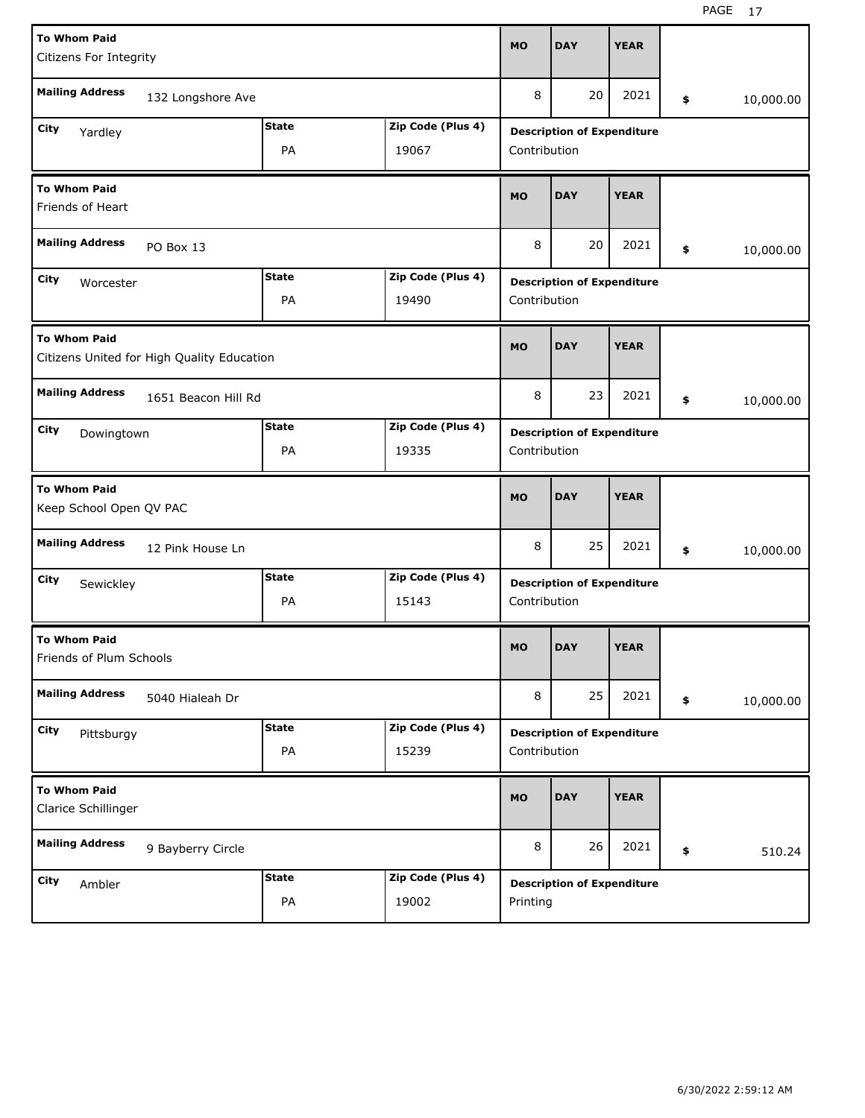| <b>To Whom Paid</b>     |                                            |                    |                            | <b>MO</b>    | <b>DAY</b>                        | <b>YEAR</b> |                 |
|-------------------------|--------------------------------------------|--------------------|----------------------------|--------------|-----------------------------------|-------------|-----------------|
| Citizens For Integrity  |                                            |                    |                            |              |                                   |             |                 |
| <b>Mailing Address</b>  |                                            |                    |                            | 8            | 20                                | 2021        |                 |
|                         | 132 Longshore Ave                          |                    |                            |              |                                   |             | \$<br>10,000.00 |
| City<br>Yardley         |                                            | <b>State</b>       | Zip Code (Plus 4)          |              | <b>Description of Expenditure</b> |             |                 |
|                         |                                            | PA                 | 19067                      | Contribution |                                   |             |                 |
|                         |                                            |                    |                            |              |                                   |             |                 |
| <b>To Whom Paid</b>     |                                            |                    |                            | <b>MO</b>    | <b>DAY</b>                        | <b>YEAR</b> |                 |
| Friends of Heart        |                                            |                    |                            |              |                                   |             |                 |
| <b>Mailing Address</b>  |                                            |                    |                            | 8            | 20                                | 2021        |                 |
|                         | PO Box 13                                  |                    |                            |              |                                   |             | \$<br>10,000.00 |
| City<br>Worcester       |                                            | <b>State</b>       | Zip Code (Plus 4)          |              | <b>Description of Expenditure</b> |             |                 |
|                         |                                            | PA                 | 19490                      | Contribution |                                   |             |                 |
|                         |                                            |                    |                            |              |                                   |             |                 |
| <b>To Whom Paid</b>     |                                            |                    |                            | <b>MO</b>    | <b>DAY</b>                        | <b>YEAR</b> |                 |
|                         | Citizens United for High Quality Education |                    |                            |              |                                   |             |                 |
|                         |                                            |                    |                            |              |                                   |             |                 |
| <b>Mailing Address</b>  | 1651 Beacon Hill Rd                        |                    |                            | 8            | 23                                | 2021        | \$<br>10,000.00 |
| City<br>Dowingtown      |                                            | <b>State</b>       | Zip Code (Plus 4)          |              | <b>Description of Expenditure</b> |             |                 |
|                         |                                            | PA                 | 19335                      | Contribution |                                   |             |                 |
|                         |                                            |                    |                            |              |                                   |             |                 |
|                         |                                            |                    |                            |              |                                   |             |                 |
| <b>To Whom Paid</b>     |                                            |                    |                            |              |                                   |             |                 |
| Keep School Open QV PAC |                                            |                    |                            | <b>MO</b>    | <b>DAY</b>                        | <b>YEAR</b> |                 |
|                         |                                            |                    |                            |              |                                   |             |                 |
| <b>Mailing Address</b>  | 12 Pink House Ln                           |                    |                            | 8            | 25                                | 2021        | \$<br>10,000.00 |
|                         |                                            | <b>State</b>       | Zip Code (Plus 4)          |              |                                   |             |                 |
| City<br>Sewickley       |                                            |                    | 15143                      |              | <b>Description of Expenditure</b> |             |                 |
|                         |                                            | PA                 |                            | Contribution |                                   |             |                 |
| <b>To Whom Paid</b>     |                                            |                    |                            |              |                                   |             |                 |
| Friends of Plum Schools |                                            |                    |                            | <b>MO</b>    | <b>DAY</b>                        | <b>YEAR</b> |                 |
|                         |                                            |                    |                            |              |                                   |             |                 |
| <b>Mailing Address</b>  | 5040 Hialeah Dr                            |                    |                            | 8            | 25                                | 2021        | \$<br>10,000.00 |
|                         |                                            |                    |                            |              |                                   |             |                 |
| City<br>Pittsburgy      |                                            | <b>State</b>       | Zip Code (Plus 4)          |              | <b>Description of Expenditure</b> |             |                 |
|                         |                                            | PA                 | 15239                      | Contribution |                                   |             |                 |
| <b>To Whom Paid</b>     |                                            |                    |                            |              |                                   |             |                 |
| Clarice Schillinger     |                                            |                    |                            | <b>MO</b>    | <b>DAY</b>                        | <b>YEAR</b> |                 |
|                         |                                            |                    |                            |              |                                   |             |                 |
| <b>Mailing Address</b>  | 9 Bayberry Circle                          |                    |                            | 8            | 26                                | 2021        | \$<br>510.24    |
|                         |                                            |                    |                            |              |                                   |             |                 |
| <b>City</b><br>Ambler   |                                            | <b>State</b><br>PA | Zip Code (Plus 4)<br>19002 | Printing     | <b>Description of Expenditure</b> |             |                 |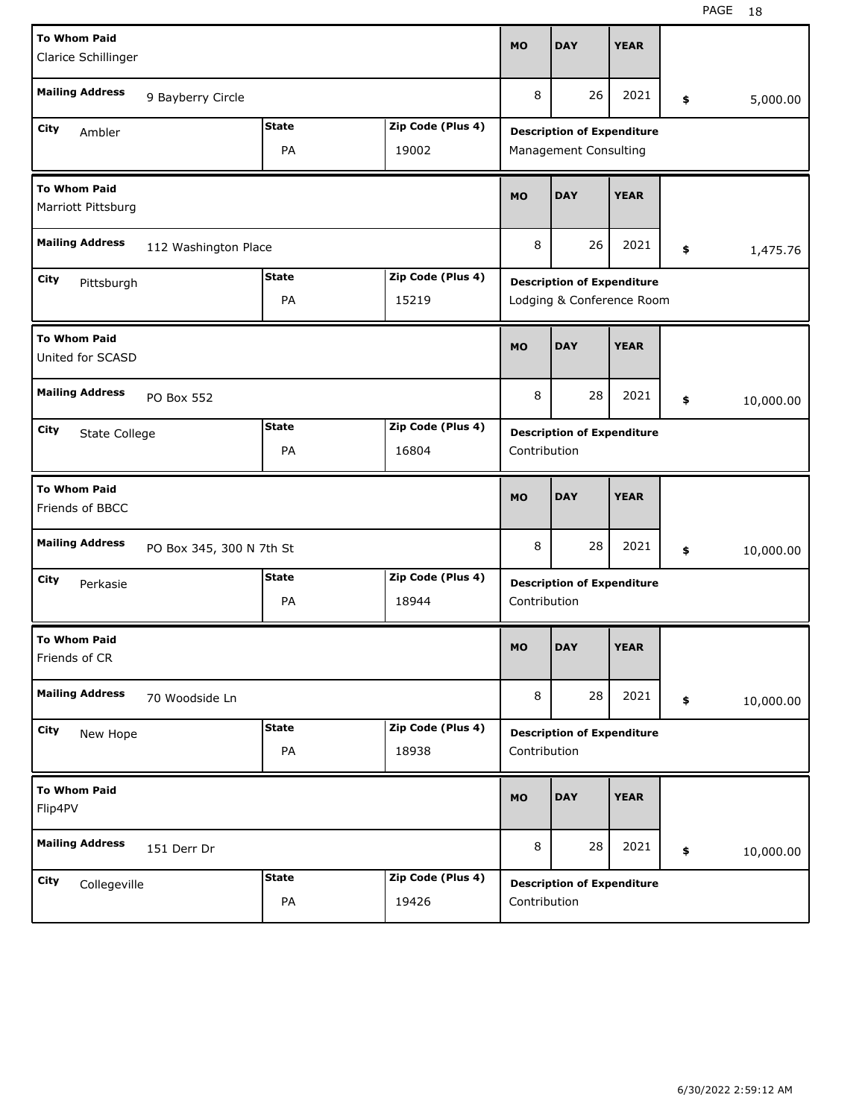| <b>To Whom Paid</b>                       |                          |              |                   | <b>MO</b>    | <b>DAY</b>                        | <b>YEAR</b> |                 |
|-------------------------------------------|--------------------------|--------------|-------------------|--------------|-----------------------------------|-------------|-----------------|
| Clarice Schillinger                       |                          |              |                   |              |                                   |             |                 |
| <b>Mailing Address</b>                    | 9 Bayberry Circle        |              |                   | 8            | 26                                | 2021        | \$<br>5,000.00  |
| City<br>Ambler                            |                          | <b>State</b> | Zip Code (Plus 4) |              | <b>Description of Expenditure</b> |             |                 |
|                                           |                          | PA           | 19002             |              | Management Consulting             |             |                 |
| <b>To Whom Paid</b><br>Marriott Pittsburg |                          |              |                   | <b>MO</b>    | <b>DAY</b>                        | <b>YEAR</b> |                 |
| <b>Mailing Address</b>                    | 112 Washington Place     |              |                   | 8            | 26                                | 2021        | \$<br>1,475.76  |
| City<br>Pittsburgh                        |                          | <b>State</b> | Zip Code (Plus 4) |              | <b>Description of Expenditure</b> |             |                 |
|                                           |                          | PA           | 15219             |              | Lodging & Conference Room         |             |                 |
| <b>To Whom Paid</b><br>United for SCASD   |                          |              |                   | <b>MO</b>    | <b>DAY</b>                        | <b>YEAR</b> |                 |
| <b>Mailing Address</b>                    | PO Box 552               |              |                   | 8            | 28                                | 2021        | \$<br>10,000.00 |
| City<br>State College                     |                          | <b>State</b> | Zip Code (Plus 4) |              | <b>Description of Expenditure</b> |             |                 |
|                                           |                          | PA           | 16804             | Contribution |                                   |             |                 |
|                                           |                          |              |                   |              |                                   |             |                 |
| <b>To Whom Paid</b><br>Friends of BBCC    |                          |              |                   | <b>MO</b>    | <b>DAY</b>                        | <b>YEAR</b> |                 |
| <b>Mailing Address</b>                    | PO Box 345, 300 N 7th St |              |                   | 8            | 28                                | 2021        | \$<br>10,000.00 |
| City                                      |                          | <b>State</b> | Zip Code (Plus 4) |              |                                   |             |                 |
| Perkasie                                  |                          | PA           | 18944             | Contribution | <b>Description of Expenditure</b> |             |                 |
| <b>To Whom Paid</b><br>Friends of CR      |                          |              |                   | <b>MO</b>    | <b>DAY</b>                        | <b>YEAR</b> |                 |
| <b>Mailing Address</b>                    | 70 Woodside Ln           |              |                   | 8            | 28                                | 2021        | \$<br>10,000.00 |
| City                                      |                          | <b>State</b> | Zip Code (Plus 4) |              |                                   |             |                 |
| New Hope                                  |                          | PA           | 18938             | Contribution | <b>Description of Expenditure</b> |             |                 |
| <b>To Whom Paid</b><br>Flip4PV            |                          |              |                   | <b>MO</b>    | <b>DAY</b>                        | <b>YEAR</b> |                 |
| <b>Mailing Address</b>                    | 151 Derr Dr              |              |                   | 8            | 28                                | 2021        | \$<br>10,000.00 |
| City<br>Collegeville                      |                          | <b>State</b> | Zip Code (Plus 4) |              | <b>Description of Expenditure</b> |             |                 |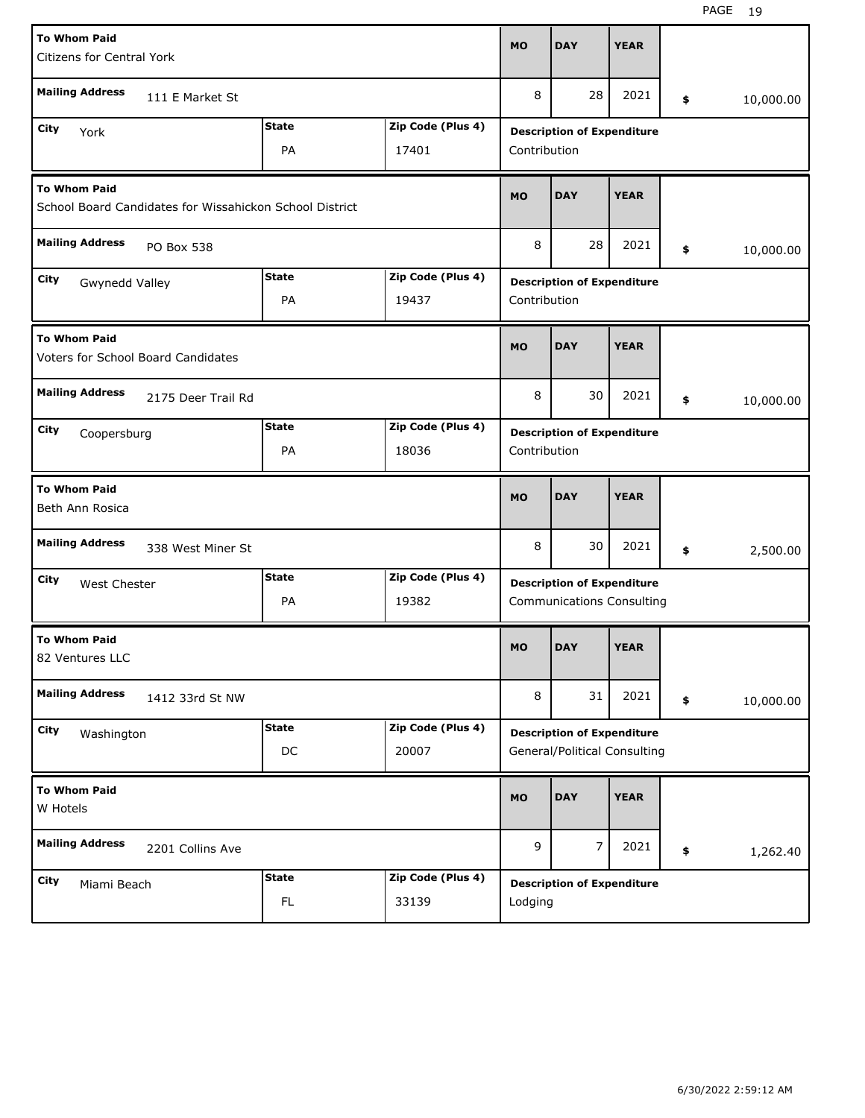| <b>To Whom Paid</b><br><b>Citizens for Central York</b> |                                                         |              |                   | <b>MO</b>    | <b>DAY</b>                                                        | <b>YEAR</b> |                 |
|---------------------------------------------------------|---------------------------------------------------------|--------------|-------------------|--------------|-------------------------------------------------------------------|-------------|-----------------|
| <b>Mailing Address</b>                                  | 111 E Market St                                         |              |                   | 8            | 28                                                                | 2021        | \$<br>10,000.00 |
| City<br>York                                            |                                                         | <b>State</b> | Zip Code (Plus 4) |              | <b>Description of Expenditure</b>                                 |             |                 |
|                                                         |                                                         | PA           | 17401             | Contribution |                                                                   |             |                 |
| <b>To Whom Paid</b>                                     | School Board Candidates for Wissahickon School District |              |                   | <b>MO</b>    | <b>DAY</b>                                                        | <b>YEAR</b> |                 |
| <b>Mailing Address</b>                                  | PO Box 538                                              |              |                   | 8            | 28                                                                | 2021        | \$<br>10,000.00 |
| City<br>Gwynedd Valley                                  |                                                         | <b>State</b> | Zip Code (Plus 4) |              | <b>Description of Expenditure</b>                                 |             |                 |
|                                                         |                                                         | PA           | 19437             | Contribution |                                                                   |             |                 |
| <b>To Whom Paid</b>                                     | <b>Voters for School Board Candidates</b>               |              |                   | <b>MO</b>    | <b>DAY</b>                                                        | <b>YEAR</b> |                 |
| <b>Mailing Address</b>                                  | 2175 Deer Trail Rd                                      |              |                   | 8            | 30                                                                | 2021        | \$<br>10,000.00 |
| City<br>Coopersburg                                     |                                                         | <b>State</b> | Zip Code (Plus 4) |              | <b>Description of Expenditure</b>                                 |             |                 |
|                                                         |                                                         | PA           | 18036             | Contribution |                                                                   |             |                 |
| <b>To Whom Paid</b><br>Beth Ann Rosica                  |                                                         |              |                   | <b>MO</b>    | <b>DAY</b>                                                        | <b>YEAR</b> |                 |
| <b>Mailing Address</b>                                  | 338 West Miner St                                       |              |                   | 8            | 30                                                                | 2021        | \$<br>2,500.00  |
| City<br><b>West Chester</b>                             |                                                         | <b>State</b> | Zip Code (Plus 4) |              | <b>Description of Expenditure</b>                                 |             |                 |
|                                                         |                                                         | PA           | 19382             |              | <b>Communications Consulting</b>                                  |             |                 |
| <b>To Whom Paid</b>                                     |                                                         |              |                   |              |                                                                   |             |                 |
| 82 Ventures LLC                                         |                                                         |              |                   | <b>MO</b>    | <b>DAY</b>                                                        | <b>YEAR</b> |                 |
| <b>Mailing Address</b>                                  | 1412 33rd St NW                                         |              |                   | 8            | 31                                                                | 2021        | \$<br>10,000.00 |
| City                                                    |                                                         | <b>State</b> | Zip Code (Plus 4) |              |                                                                   |             |                 |
| Washington                                              |                                                         | DC           | 20007             |              | <b>Description of Expenditure</b><br>General/Political Consulting |             |                 |
| <b>To Whom Paid</b><br>W Hotels                         |                                                         |              |                   | <b>MO</b>    | <b>DAY</b>                                                        | <b>YEAR</b> |                 |
| <b>Mailing Address</b>                                  | 2201 Collins Ave                                        |              |                   | 9            | $\overline{7}$                                                    | 2021        | \$<br>1,262.40  |
| City<br>Miami Beach                                     |                                                         | <b>State</b> | Zip Code (Plus 4) |              | <b>Description of Expenditure</b>                                 |             |                 |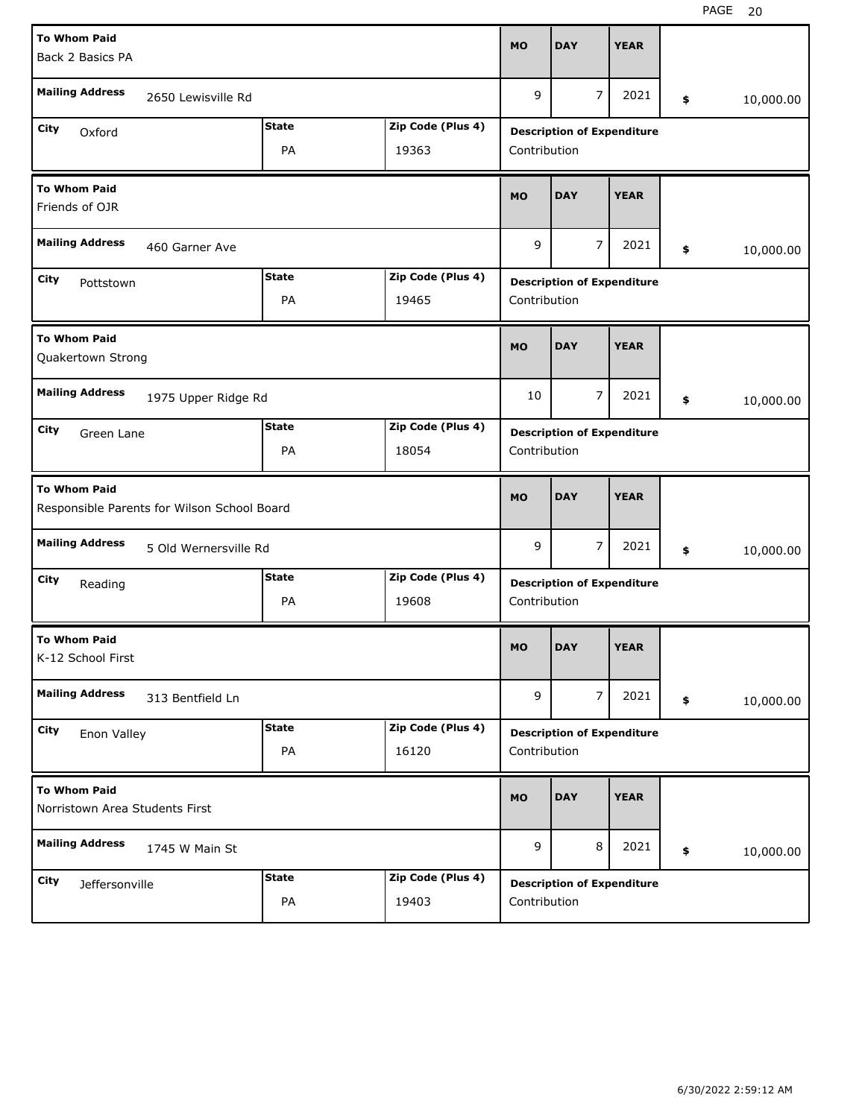| <b>To Whom Paid</b><br>Back 2 Basics PA               |                                             |              |                   | <b>MO</b>    | <b>DAY</b>                        | <b>YEAR</b>                       |                 |
|-------------------------------------------------------|---------------------------------------------|--------------|-------------------|--------------|-----------------------------------|-----------------------------------|-----------------|
| <b>Mailing Address</b>                                | 2650 Lewisville Rd                          |              |                   | 9            | $\overline{7}$                    | 2021                              | \$<br>10,000.00 |
| City<br>Oxford                                        |                                             | <b>State</b> | Zip Code (Plus 4) |              | <b>Description of Expenditure</b> |                                   |                 |
|                                                       |                                             | PA           | 19363             | Contribution |                                   |                                   |                 |
| <b>To Whom Paid</b><br>Friends of OJR                 |                                             |              |                   | <b>MO</b>    | <b>DAY</b>                        | <b>YEAR</b>                       |                 |
| <b>Mailing Address</b>                                | 460 Garner Ave                              |              |                   | 9            | $\overline{7}$                    | 2021                              | \$<br>10,000.00 |
| City<br>Pottstown                                     |                                             | <b>State</b> | Zip Code (Plus 4) |              | <b>Description of Expenditure</b> |                                   |                 |
|                                                       |                                             | PA           | 19465             | Contribution |                                   |                                   |                 |
| <b>To Whom Paid</b><br>Quakertown Strong              |                                             |              |                   | <b>MO</b>    | <b>DAY</b>                        | <b>YEAR</b>                       |                 |
| <b>Mailing Address</b>                                | 1975 Upper Ridge Rd                         |              |                   | 10           | $\overline{7}$                    | 2021                              | \$<br>10,000.00 |
| City<br>Green Lane                                    |                                             | <b>State</b> | Zip Code (Plus 4) |              | <b>Description of Expenditure</b> |                                   |                 |
|                                                       |                                             | PA           | 18054             | Contribution |                                   |                                   |                 |
| <b>To Whom Paid</b>                                   | Responsible Parents for Wilson School Board |              |                   | <b>MO</b>    | <b>DAY</b>                        | <b>YEAR</b>                       |                 |
| <b>Mailing Address</b>                                | 5 Old Wernersville Rd                       |              |                   | 9            | 7                                 | 2021                              | \$<br>10,000.00 |
| City<br>Reading                                       |                                             | <b>State</b> | Zip Code (Plus 4) |              |                                   |                                   |                 |
|                                                       |                                             | PA           |                   |              |                                   | <b>Description of Expenditure</b> |                 |
|                                                       |                                             |              | 19608             | Contribution |                                   |                                   |                 |
| <b>To Whom Paid</b><br>K-12 School First              |                                             |              |                   | MO           | <b>DAY</b>                        | <b>YEAR</b>                       |                 |
| <b>Mailing Address</b>                                | 313 Bentfield Ln                            |              |                   | 9            | $\overline{7}$                    | 2021                              | \$<br>10,000.00 |
| City                                                  |                                             | <b>State</b> | Zip Code (Plus 4) |              | <b>Description of Expenditure</b> |                                   |                 |
| Enon Valley                                           |                                             | PA           | 16120             | Contribution |                                   |                                   |                 |
| <b>To Whom Paid</b><br>Norristown Area Students First |                                             |              |                   | <b>MO</b>    | <b>DAY</b>                        | <b>YEAR</b>                       |                 |
| <b>Mailing Address</b>                                | 1745 W Main St                              |              |                   | 9            | 8                                 | 2021                              | \$<br>10,000.00 |
| City<br>Jeffersonville                                |                                             | <b>State</b> | Zip Code (Plus 4) |              | <b>Description of Expenditure</b> |                                   |                 |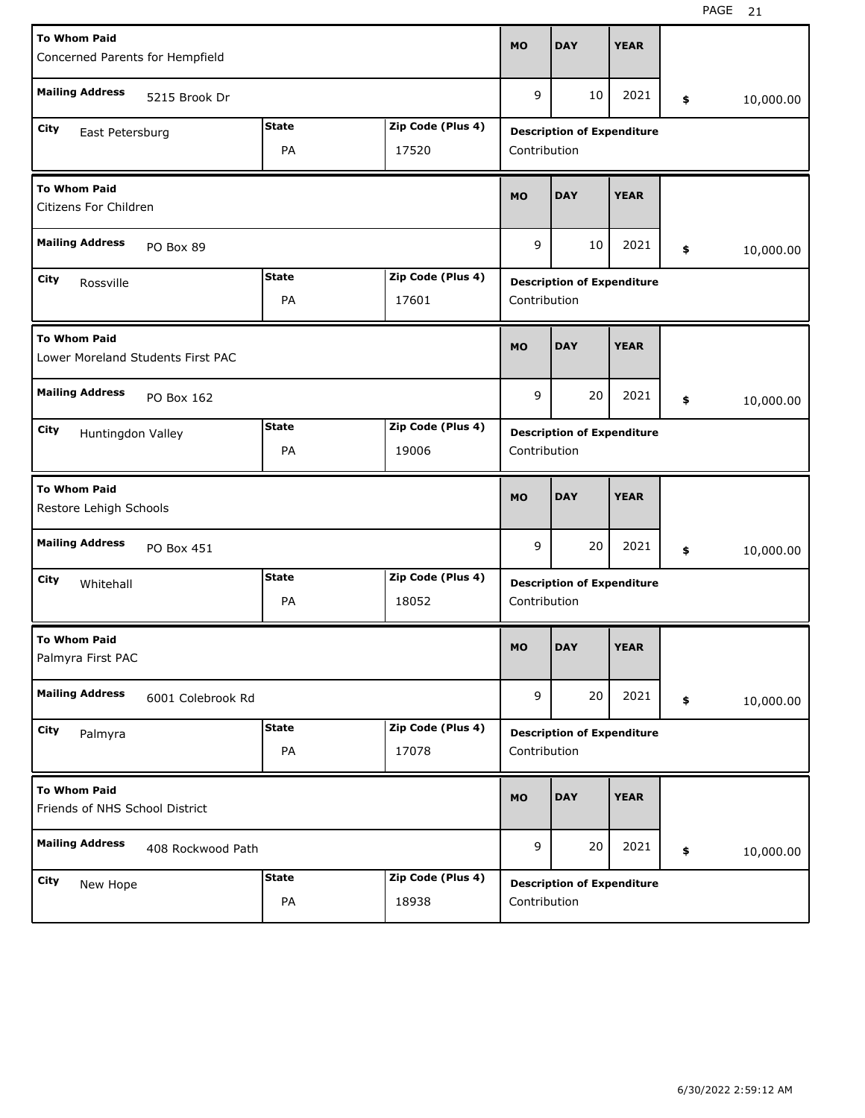| <b>To Whom Paid</b><br>Concerned Parents for Hempfield   |                    |                            | <b>MO</b>    | <b>DAY</b>                        | <b>YEAR</b> |                 |
|----------------------------------------------------------|--------------------|----------------------------|--------------|-----------------------------------|-------------|-----------------|
| <b>Mailing Address</b><br>5215 Brook Dr                  |                    |                            | 9            | 10                                | 2021        | \$<br>10,000.00 |
| City<br>East Petersburg                                  | <b>State</b><br>PA | Zip Code (Plus 4)<br>17520 | Contribution | <b>Description of Expenditure</b> |             |                 |
| <b>To Whom Paid</b><br>Citizens For Children             |                    |                            | <b>MO</b>    | <b>DAY</b>                        | <b>YEAR</b> |                 |
| <b>Mailing Address</b><br>PO Box 89                      |                    |                            | 9            | 10                                | 2021        | \$<br>10,000.00 |
| City<br>Rossville                                        | <b>State</b><br>PA | Zip Code (Plus 4)<br>17601 | Contribution | <b>Description of Expenditure</b> |             |                 |
| <b>To Whom Paid</b><br>Lower Moreland Students First PAC |                    |                            | <b>MO</b>    | <b>DAY</b>                        | <b>YEAR</b> |                 |
| <b>Mailing Address</b><br>PO Box 162                     |                    |                            | 9            | 20                                | 2021        | \$<br>10,000.00 |
| City<br>Huntingdon Valley                                | <b>State</b><br>PA | Zip Code (Plus 4)<br>19006 | Contribution | <b>Description of Expenditure</b> |             |                 |
|                                                          |                    |                            |              |                                   |             |                 |
| <b>To Whom Paid</b><br>Restore Lehigh Schools            |                    |                            | <b>MO</b>    | <b>DAY</b>                        | <b>YEAR</b> |                 |
| <b>Mailing Address</b><br>PO Box 451                     |                    |                            | 9            | 20                                | 2021        | \$<br>10,000.00 |
| City<br>Whitehall                                        | <b>State</b><br>PA | Zip Code (Plus 4)<br>18052 | Contribution | <b>Description of Expenditure</b> |             |                 |
| <b>To Whom Paid</b><br>Palmyra First PAC                 |                    |                            | <b>MO</b>    | <b>DAY</b>                        | <b>YEAR</b> |                 |
| <b>Mailing Address</b><br>6001 Colebrook Rd              |                    |                            | 9            | 20                                | 2021        | \$<br>10,000.00 |
| City<br>Palmyra                                          | <b>State</b><br>PA | Zip Code (Plus 4)<br>17078 | Contribution | <b>Description of Expenditure</b> |             |                 |
| <b>To Whom Paid</b><br>Friends of NHS School District    |                    |                            | <b>MO</b>    | <b>DAY</b>                        | <b>YEAR</b> |                 |
| <b>Mailing Address</b><br>408 Rockwood Path              |                    |                            | 9            | 20                                | 2021        | \$<br>10,000.00 |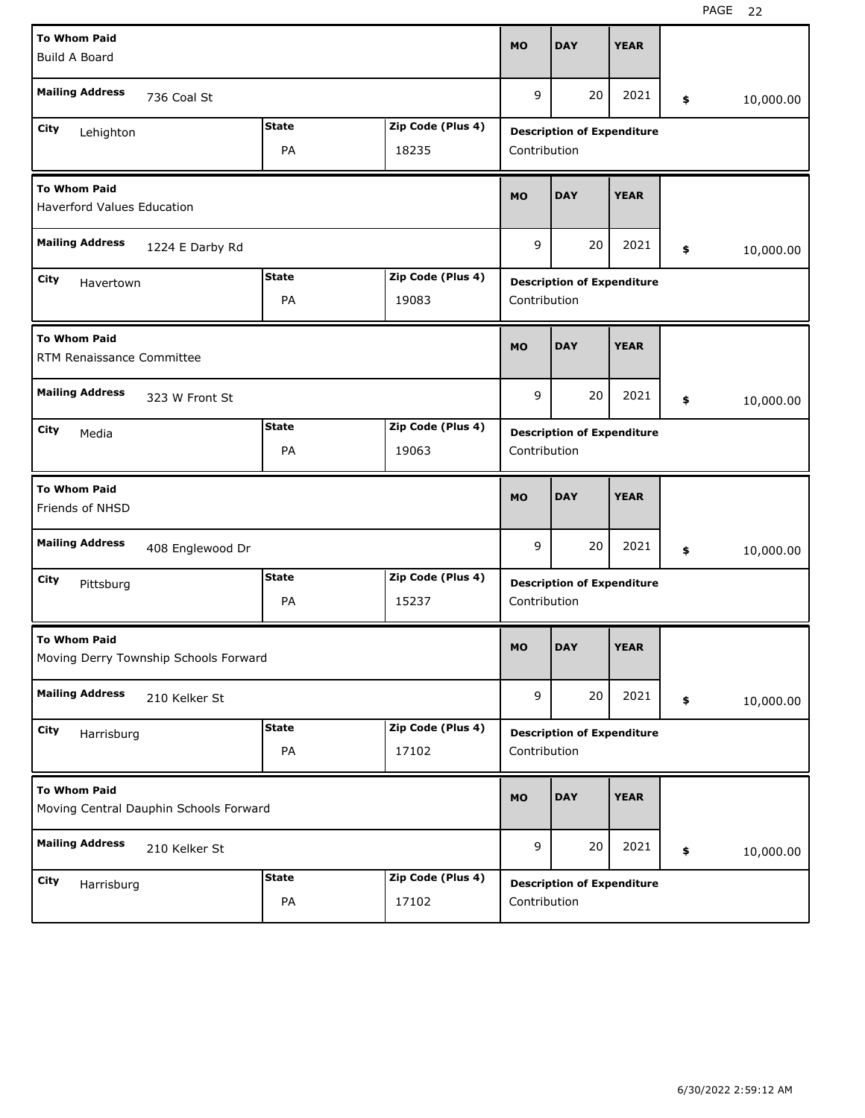| <b>To Whom Paid</b>                                      |                                        |              |                   |              |                                   |             |                 |
|----------------------------------------------------------|----------------------------------------|--------------|-------------------|--------------|-----------------------------------|-------------|-----------------|
| <b>Build A Board</b>                                     |                                        |              |                   | <b>MO</b>    | <b>DAY</b>                        | <b>YEAR</b> |                 |
|                                                          |                                        |              |                   |              |                                   |             |                 |
| <b>Mailing Address</b>                                   | 736 Coal St                            |              |                   | 9            | 20                                | 2021        | \$<br>10,000.00 |
| City<br>Lehighton                                        |                                        | <b>State</b> | Zip Code (Plus 4) |              | <b>Description of Expenditure</b> |             |                 |
|                                                          |                                        | PA           | 18235             | Contribution |                                   |             |                 |
| <b>To Whom Paid</b><br><b>Haverford Values Education</b> |                                        |              |                   | <b>MO</b>    | <b>DAY</b>                        | <b>YEAR</b> |                 |
| <b>Mailing Address</b>                                   |                                        |              |                   |              |                                   |             |                 |
|                                                          | 1224 E Darby Rd                        |              |                   | 9            | 20                                | 2021        | \$<br>10,000.00 |
| City<br>Havertown                                        |                                        | <b>State</b> | Zip Code (Plus 4) |              | <b>Description of Expenditure</b> |             |                 |
|                                                          |                                        | PA           | 19083             | Contribution |                                   |             |                 |
| <b>To Whom Paid</b><br>RTM Renaissance Committee         |                                        |              |                   | <b>MO</b>    | <b>DAY</b>                        | <b>YEAR</b> |                 |
| <b>Mailing Address</b>                                   | 323 W Front St                         |              |                   | 9            | 20                                | 2021        | \$<br>10,000.00 |
| City<br>Media                                            |                                        | <b>State</b> | Zip Code (Plus 4) |              | <b>Description of Expenditure</b> |             |                 |
|                                                          |                                        | PA           | 19063             | Contribution |                                   |             |                 |
|                                                          |                                        |              |                   |              |                                   |             |                 |
| <b>To Whom Paid</b><br>Friends of NHSD                   |                                        |              |                   | <b>MO</b>    | <b>DAY</b>                        | <b>YEAR</b> |                 |
| <b>Mailing Address</b>                                   | 408 Englewood Dr                       |              |                   | 9            | 20                                | 2021        | \$<br>10,000.00 |
| City<br>Pittsburg                                        |                                        | <b>State</b> | Zip Code (Plus 4) |              | <b>Description of Expenditure</b> |             |                 |
|                                                          |                                        | PA           | 15237             | Contribution |                                   |             |                 |
| <b>To Whom Paid</b>                                      | Moving Derry Township Schools Forward  |              |                   | <b>MO</b>    | <b>DAY</b>                        | <b>YEAR</b> |                 |
| <b>Mailing Address</b>                                   | 210 Kelker St                          |              |                   | 9            | 20                                | 2021        | \$<br>10,000.00 |
| City<br>Harrisburg                                       |                                        | <b>State</b> | Zip Code (Plus 4) |              | <b>Description of Expenditure</b> |             |                 |
|                                                          |                                        | PA           | 17102             | Contribution |                                   |             |                 |
| <b>To Whom Paid</b>                                      | Moving Central Dauphin Schools Forward |              |                   | <b>MO</b>    | <b>DAY</b>                        | <b>YEAR</b> |                 |
| <b>Mailing Address</b>                                   | 210 Kelker St                          |              |                   | 9            | 20                                | 2021        | \$<br>10,000.00 |
| <b>City</b><br>Harrisburg                                |                                        | <b>State</b> | Zip Code (Plus 4) |              | <b>Description of Expenditure</b> |             |                 |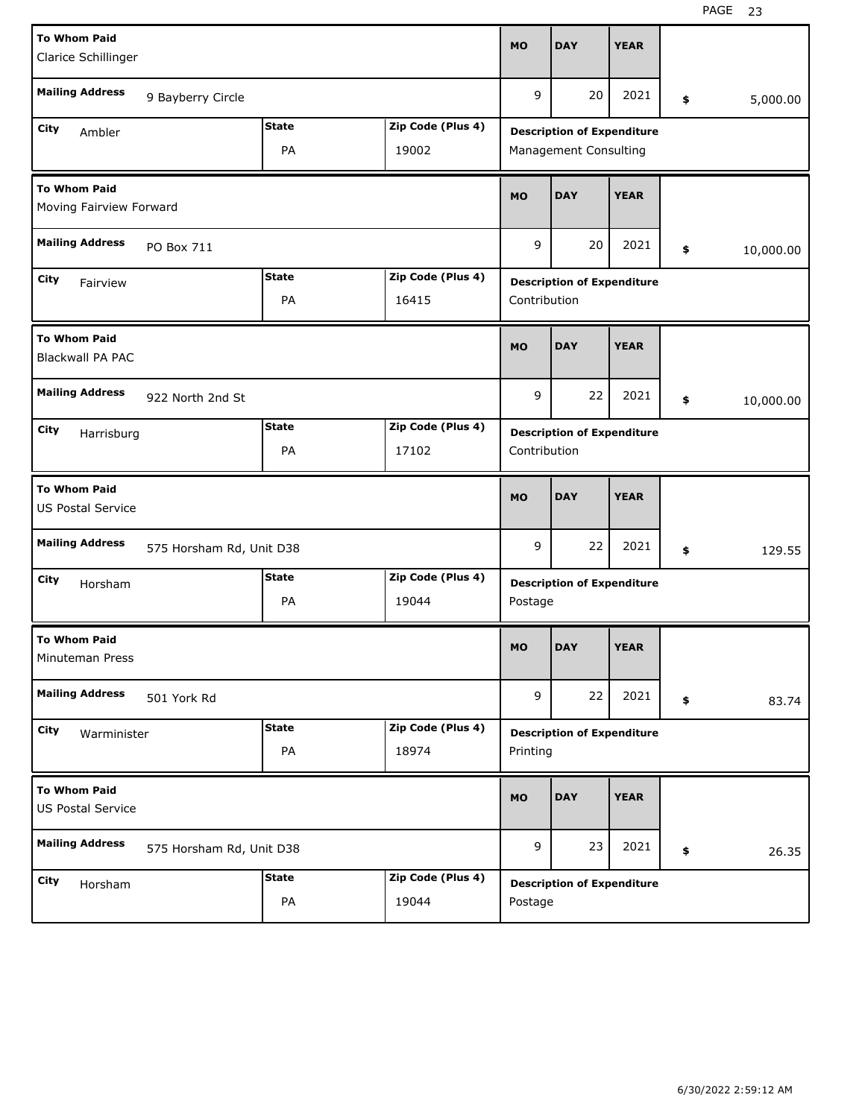| <b>To Whom Paid</b>                             |                          |              |                   | <b>MO</b>    | <b>DAY</b>                        | <b>YEAR</b> |                 |
|-------------------------------------------------|--------------------------|--------------|-------------------|--------------|-----------------------------------|-------------|-----------------|
| Clarice Schillinger                             |                          |              |                   |              |                                   |             |                 |
| <b>Mailing Address</b>                          | 9 Bayberry Circle        |              |                   | 9            | 20                                | 2021        | \$<br>5,000.00  |
| City<br>Ambler                                  |                          | <b>State</b> | Zip Code (Plus 4) |              | <b>Description of Expenditure</b> |             |                 |
|                                                 |                          | PA           | 19002             |              | Management Consulting             |             |                 |
| To Whom Paid<br>Moving Fairview Forward         |                          |              |                   | <b>MO</b>    | <b>DAY</b>                        | <b>YEAR</b> |                 |
| <b>Mailing Address</b>                          | PO Box 711               |              |                   | 9            | 20                                | 2021        | \$<br>10,000.00 |
| City<br>Fairview                                |                          | <b>State</b> | Zip Code (Plus 4) |              | <b>Description of Expenditure</b> |             |                 |
|                                                 |                          | PA           | 16415             | Contribution |                                   |             |                 |
| <b>To Whom Paid</b><br><b>Blackwall PA PAC</b>  |                          |              |                   | <b>MO</b>    | <b>DAY</b>                        | <b>YEAR</b> |                 |
| <b>Mailing Address</b>                          | 922 North 2nd St         |              |                   | 9            | 22                                | 2021        | \$<br>10,000.00 |
| City<br>Harrisburg                              |                          | <b>State</b> | Zip Code (Plus 4) |              | <b>Description of Expenditure</b> |             |                 |
|                                                 |                          | PA           | 17102             | Contribution |                                   |             |                 |
| <b>To Whom Paid</b><br><b>US Postal Service</b> |                          |              |                   | <b>MO</b>    | <b>DAY</b>                        | <b>YEAR</b> |                 |
| <b>Mailing Address</b>                          | 575 Horsham Rd, Unit D38 |              |                   | 9            | 22                                | 2021        | \$<br>129.55    |
| City<br>Horsham                                 |                          | <b>State</b> | Zip Code (Plus 4) |              | <b>Description of Expenditure</b> |             |                 |
|                                                 |                          | PA           | 19044             | Postage      |                                   |             |                 |
| <b>To Whom Paid</b><br>Minuteman Press          |                          |              |                   | <b>MO</b>    | <b>DAY</b>                        | <b>YEAR</b> |                 |
| <b>Mailing Address</b>                          | 501 York Rd              |              |                   | 9            | 22                                | 2021        | \$<br>83.74     |
| City<br>Warminister                             |                          | <b>State</b> | Zip Code (Plus 4) |              | <b>Description of Expenditure</b> |             |                 |
|                                                 |                          | PA           | 18974             | Printing     |                                   |             |                 |
| <b>To Whom Paid</b><br><b>US Postal Service</b> |                          |              |                   | <b>MO</b>    | <b>DAY</b>                        | <b>YEAR</b> |                 |
| <b>Mailing Address</b>                          | 575 Horsham Rd, Unit D38 |              |                   | 9            | 23                                | 2021        | \$<br>26.35     |
|                                                 |                          | <b>State</b> |                   |              |                                   |             |                 |
| City<br>Horsham                                 |                          |              | Zip Code (Plus 4) |              | <b>Description of Expenditure</b> |             |                 |

H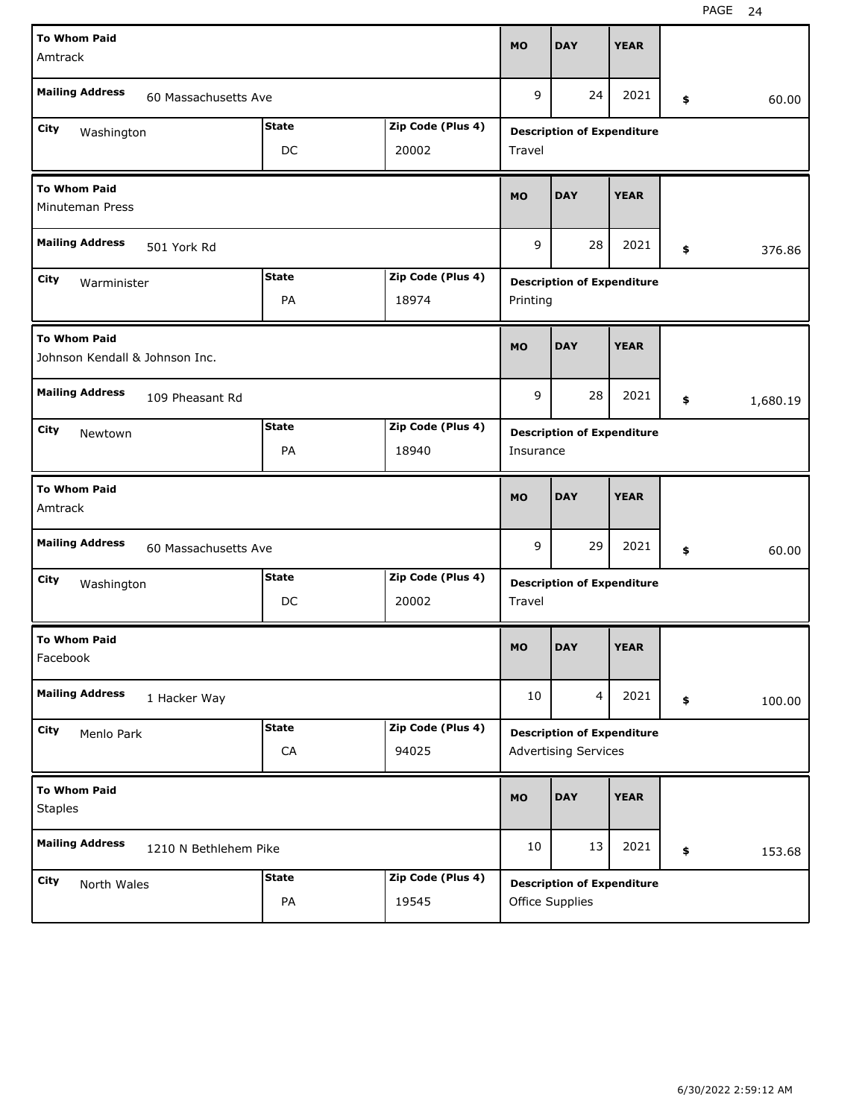| <b>To Whom Paid</b>                                   |              |                   |           |                                   |             |                |
|-------------------------------------------------------|--------------|-------------------|-----------|-----------------------------------|-------------|----------------|
| Amtrack                                               |              |                   | <b>MO</b> | <b>DAY</b>                        | <b>YEAR</b> |                |
| <b>Mailing Address</b><br>60 Massachusetts Ave        |              |                   | 9         | 24                                | 2021        | \$<br>60.00    |
| City<br>Washington                                    | <b>State</b> | Zip Code (Plus 4) |           | <b>Description of Expenditure</b> |             |                |
|                                                       | DC           | 20002             | Travel    |                                   |             |                |
| <b>To Whom Paid</b><br>Minuteman Press                |              |                   | <b>MO</b> | <b>DAY</b>                        | <b>YEAR</b> |                |
| <b>Mailing Address</b><br>501 York Rd                 |              |                   | 9         | 28                                | 2021        | \$<br>376.86   |
| City<br>Warminister                                   | <b>State</b> | Zip Code (Plus 4) |           | <b>Description of Expenditure</b> |             |                |
|                                                       | PA           | 18974             | Printing  |                                   |             |                |
| <b>To Whom Paid</b><br>Johnson Kendall & Johnson Inc. |              |                   | <b>MO</b> | <b>DAY</b>                        | <b>YEAR</b> |                |
| <b>Mailing Address</b><br>109 Pheasant Rd             |              |                   | 9         | 28                                | 2021        | \$<br>1,680.19 |
| City<br>Newtown                                       | <b>State</b> | Zip Code (Plus 4) |           | <b>Description of Expenditure</b> |             |                |
|                                                       | PA           | 18940             | Insurance |                                   |             |                |
|                                                       |              |                   |           |                                   |             |                |
| <b>To Whom Paid</b><br>Amtrack                        |              |                   | <b>MO</b> | <b>DAY</b>                        | <b>YEAR</b> |                |
| <b>Mailing Address</b><br>60 Massachusetts Ave        |              |                   | 9         | 29                                | 2021        | \$<br>60.00    |
| City<br>Washington                                    | <b>State</b> | Zip Code (Plus 4) |           | <b>Description of Expenditure</b> |             |                |
|                                                       | DC           | 20002             | Travel    |                                   |             |                |
| <b>To Whom Paid</b><br>Facebook                       |              |                   | <b>MO</b> | <b>DAY</b>                        | <b>YEAR</b> |                |
| <b>Mailing Address</b><br>1 Hacker Way                |              |                   | 10        | 4                                 | 2021        | \$<br>100.00   |
| City<br>Menlo Park                                    | <b>State</b> | Zip Code (Plus 4) |           | <b>Description of Expenditure</b> |             |                |
|                                                       | ${\sf CA}$   | 94025             |           | <b>Advertising Services</b>       |             |                |
| <b>To Whom Paid</b><br><b>Staples</b>                 |              |                   | <b>MO</b> | <b>DAY</b>                        | <b>YEAR</b> |                |
| <b>Mailing Address</b><br>1210 N Bethlehem Pike       |              |                   | 10        | 13                                | 2021        | \$<br>153.68   |
| City<br>North Wales                                   | <b>State</b> | Zip Code (Plus 4) |           | <b>Description of Expenditure</b> |             |                |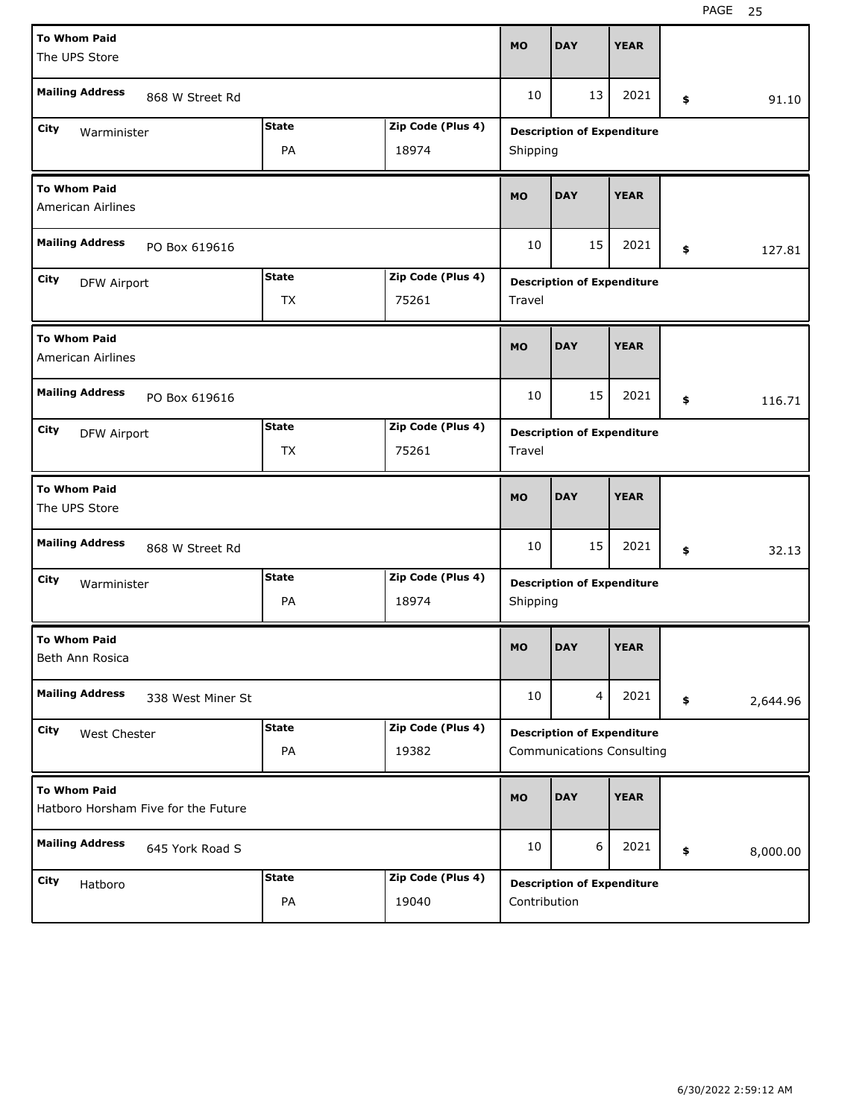| <b>To Whom Paid</b><br>The UPS Store                                                  |                    |                            |             | <b>DAY</b>                                                            | <b>YEAR</b> |    |          |  |  |
|---------------------------------------------------------------------------------------|--------------------|----------------------------|-------------|-----------------------------------------------------------------------|-------------|----|----------|--|--|
| <b>Mailing Address</b><br>868 W Street Rd                                             |                    |                            |             | 13                                                                    | 2021        | \$ | 91.10    |  |  |
| <b>State</b><br>Zip Code (Plus 4)<br>City<br>Warminister<br>PA<br>18974               |                    |                            |             | <b>Description of Expenditure</b><br>Shipping                         |             |    |          |  |  |
| <b>To Whom Paid</b><br><b>American Airlines</b>                                       |                    |                            |             | <b>DAY</b>                                                            | <b>YEAR</b> |    |          |  |  |
| <b>Mailing Address</b><br>PO Box 619616                                               |                    |                            |             | 15                                                                    | 2021        | \$ | 127.81   |  |  |
| <b>State</b><br>Zip Code (Plus 4)<br>City<br><b>DFW Airport</b><br>TX<br>75261        |                    |                            |             | <b>Description of Expenditure</b><br>Travel                           |             |    |          |  |  |
| <b>To Whom Paid</b><br><b>American Airlines</b>                                       | <b>MO</b>          | <b>DAY</b>                 | <b>YEAR</b> |                                                                       |             |    |          |  |  |
| <b>Mailing Address</b><br>PO Box 619616                                               | 10                 | 15                         | 2021        | \$                                                                    | 116.71      |    |          |  |  |
| <b>State</b><br>Zip Code (Plus 4)<br>City<br><b>DFW Airport</b><br><b>TX</b><br>75261 |                    |                            |             | <b>Description of Expenditure</b><br>Travel                           |             |    |          |  |  |
|                                                                                       |                    |                            |             |                                                                       |             |    |          |  |  |
| <b>To Whom Paid</b><br>The UPS Store                                                  |                    |                            | <b>MO</b>   | <b>DAY</b>                                                            | <b>YEAR</b> |    |          |  |  |
| <b>Mailing Address</b><br>868 W Street Rd                                             |                    |                            | 10          | 15                                                                    | 2021        | \$ | 32.13    |  |  |
| City<br>Warminister                                                                   | <b>State</b><br>PA | Zip Code (Plus 4)<br>18974 | Shipping    | <b>Description of Expenditure</b>                                     |             |    |          |  |  |
| <b>To Whom Paid</b><br>Beth Ann Rosica                                                |                    |                            | MO          | <b>DAY</b>                                                            | <b>YEAR</b> |    |          |  |  |
| <b>Mailing Address</b><br>338 West Miner St                                           |                    |                            | 10          | 4                                                                     | 2021        | \$ | 2,644.96 |  |  |
| City<br>West Chester                                                                  | <b>State</b><br>PA | Zip Code (Plus 4)<br>19382 |             | <b>Description of Expenditure</b><br><b>Communications Consulting</b> |             |    |          |  |  |
| <b>To Whom Paid</b><br>Hatboro Horsham Five for the Future                            |                    |                            | <b>MO</b>   | <b>DAY</b>                                                            | <b>YEAR</b> |    |          |  |  |
| <b>Mailing Address</b><br>645 York Road S                                             |                    |                            | 10          | 6                                                                     | 2021        | \$ | 8,000.00 |  |  |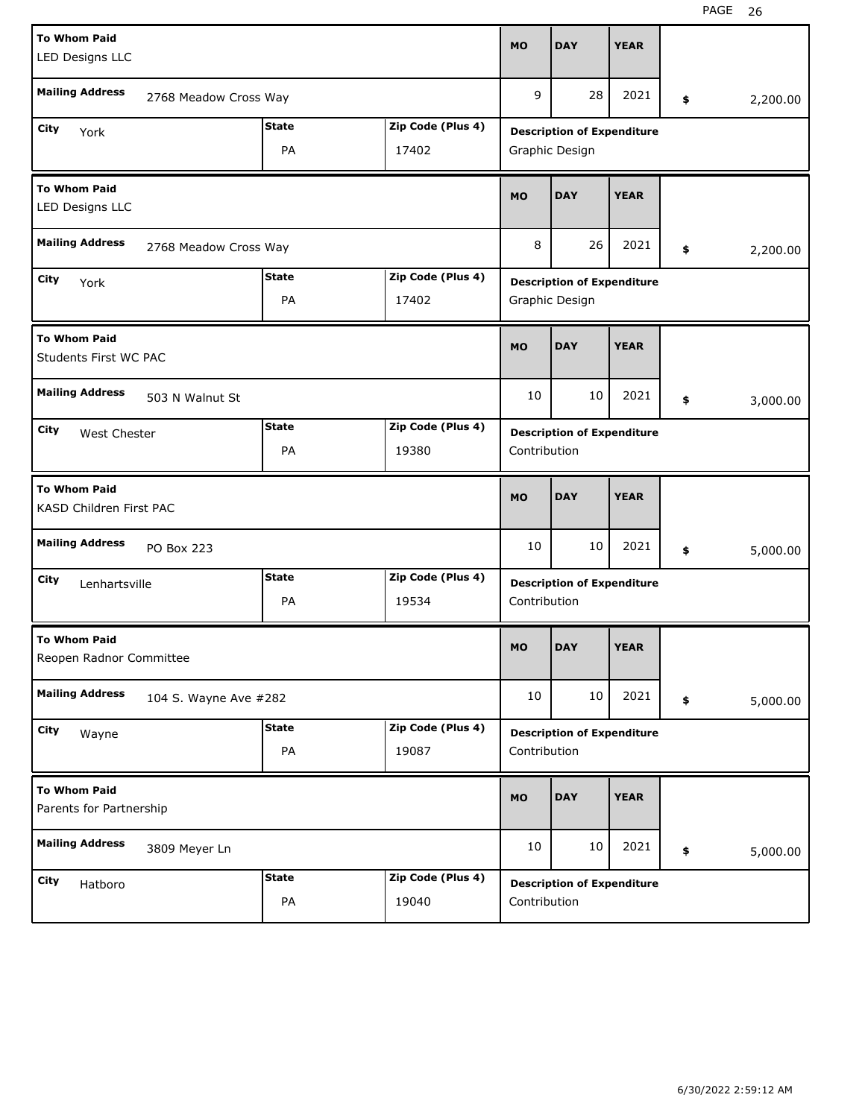| <b>To Whom Paid</b><br>LED Designs LLC                                   |                       |                                   |                                   | <b>DAY</b>                        | <b>YEAR</b> |    |          |  |  |  |
|--------------------------------------------------------------------------|-----------------------|-----------------------------------|-----------------------------------|-----------------------------------|-------------|----|----------|--|--|--|
| <b>Mailing Address</b><br>2768 Meadow Cross Way                          |                       |                                   |                                   | 28                                | 2021        | \$ | 2,200.00 |  |  |  |
| City<br>York                                                             | Zip Code (Plus 4)     | <b>Description of Expenditure</b> |                                   |                                   |             |    |          |  |  |  |
|                                                                          | Graphic Design        |                                   |                                   |                                   |             |    |          |  |  |  |
| <b>To Whom Paid</b><br>LED Designs LLC                                   |                       |                                   |                                   | <b>DAY</b>                        | <b>YEAR</b> |    |          |  |  |  |
| <b>Mailing Address</b><br>2768 Meadow Cross Way                          |                       |                                   |                                   | 26                                | 2021        | \$ | 2,200.00 |  |  |  |
| City<br>York                                                             | <b>State</b>          | Zip Code (Plus 4)                 | <b>Description of Expenditure</b> |                                   |             |    |          |  |  |  |
|                                                                          | PA                    | 17402                             | Graphic Design                    |                                   |             |    |          |  |  |  |
| <b>To Whom Paid</b><br>Students First WC PAC                             | <b>MO</b>             | <b>DAY</b>                        | <b>YEAR</b>                       |                                   |             |    |          |  |  |  |
| <b>Mailing Address</b><br>503 N Walnut St                                | 10                    | 10                                | 2021                              | \$                                | 3,000.00    |    |          |  |  |  |
| <b>State</b><br>Zip Code (Plus 4)<br>City<br>West Chester<br>PA<br>19380 |                       |                                   |                                   | <b>Description of Expenditure</b> |             |    |          |  |  |  |
|                                                                          |                       |                                   |                                   | Contribution                      |             |    |          |  |  |  |
|                                                                          |                       |                                   |                                   |                                   |             |    |          |  |  |  |
| <b>To Whom Paid</b><br>KASD Children First PAC                           |                       |                                   | <b>MO</b>                         | <b>DAY</b>                        | <b>YEAR</b> |    |          |  |  |  |
| <b>Mailing Address</b><br><b>PO Box 223</b>                              |                       |                                   | 10                                | 10                                | 2021        | \$ | 5,000.00 |  |  |  |
| City<br>Lenhartsville                                                    | <b>State</b>          | Zip Code (Plus 4)                 |                                   | <b>Description of Expenditure</b> |             |    |          |  |  |  |
|                                                                          | PA                    | 19534                             | Contribution                      |                                   |             |    |          |  |  |  |
| <b>To Whom Paid</b><br>Reopen Radnor Committee                           |                       |                                   | <b>MO</b>                         | <b>DAY</b>                        | <b>YEAR</b> |    |          |  |  |  |
| <b>Mailing Address</b>                                                   | 104 S. Wayne Ave #282 |                                   | 10                                | 10                                | 2021        | \$ | 5,000.00 |  |  |  |
| City<br>Wayne                                                            | <b>State</b>          | Zip Code (Plus 4)                 |                                   | <b>Description of Expenditure</b> |             |    |          |  |  |  |
|                                                                          | PA                    | 19087                             | Contribution                      |                                   |             |    |          |  |  |  |
| <b>To Whom Paid</b><br>Parents for Partnership                           |                       |                                   | <b>MO</b>                         | <b>DAY</b>                        | <b>YEAR</b> |    |          |  |  |  |
| <b>Mailing Address</b><br>3809 Meyer Ln                                  |                       |                                   | 10                                | 10                                | 2021        | \$ | 5,000.00 |  |  |  |
| City<br>Hatboro                                                          | <b>State</b>          | Zip Code (Plus 4)                 |                                   | <b>Description of Expenditure</b> |             |    |          |  |  |  |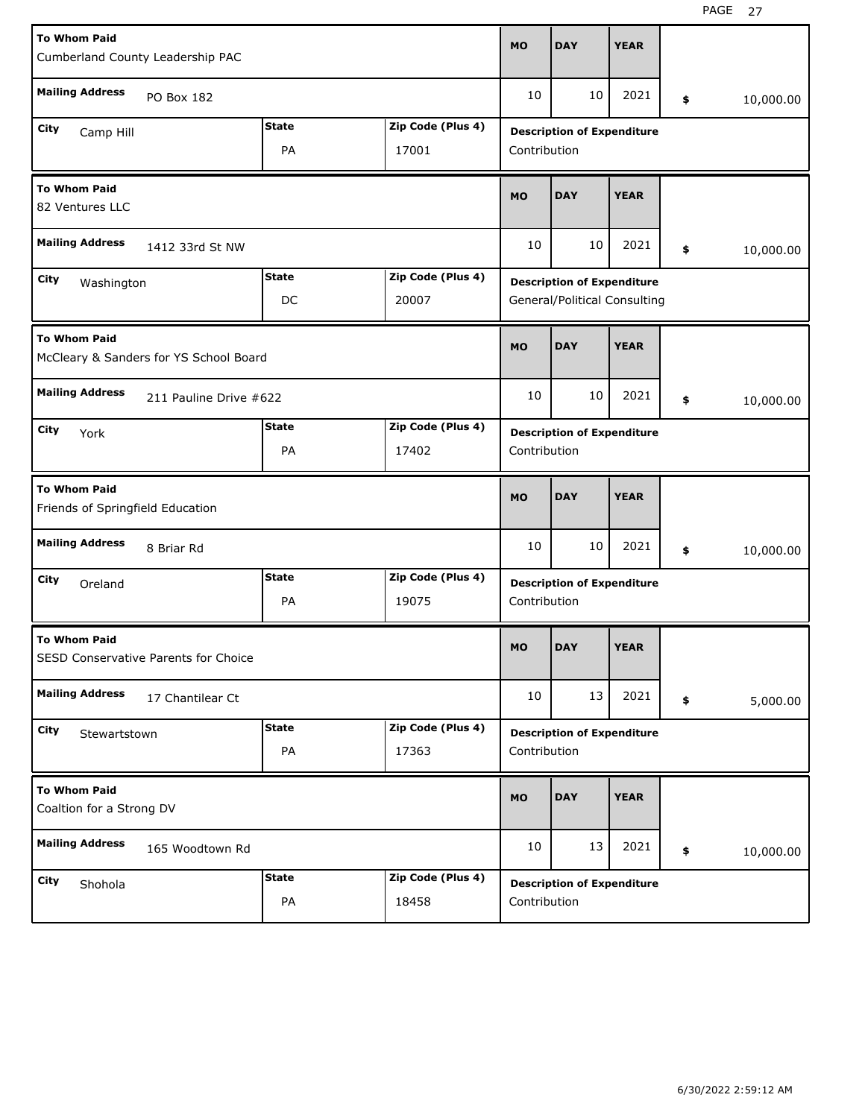| <b>To Whom Paid</b><br>Cumberland County Leadership PAC          |              |                   |                                   | <b>DAY</b>                        | <b>YEAR</b> |    |           |  |  |  |
|------------------------------------------------------------------|--------------|-------------------|-----------------------------------|-----------------------------------|-------------|----|-----------|--|--|--|
| <b>Mailing Address</b><br>PO Box 182                             |              |                   |                                   | 10                                | 2021        | \$ | 10,000.00 |  |  |  |
| <b>State</b><br>Zip Code (Plus 4)<br>City<br>Camp Hill           |              |                   |                                   | <b>Description of Expenditure</b> |             |    |           |  |  |  |
| PA<br>17001                                                      |              |                   |                                   | Contribution                      |             |    |           |  |  |  |
| <b>To Whom Paid</b><br>82 Ventures LLC                           |              |                   |                                   | <b>DAY</b>                        | <b>YEAR</b> |    |           |  |  |  |
| <b>Mailing Address</b><br>1412 33rd St NW                        |              |                   |                                   | 10                                | 2021        | \$ | 10,000.00 |  |  |  |
| <b>State</b><br>Zip Code (Plus 4)<br>City<br>Washington          |              |                   | <b>Description of Expenditure</b> |                                   |             |    |           |  |  |  |
|                                                                  | DC           | 20007             | General/Political Consulting      |                                   |             |    |           |  |  |  |
| <b>To Whom Paid</b><br>McCleary & Sanders for YS School Board    |              |                   |                                   | <b>DAY</b>                        | <b>YEAR</b> |    |           |  |  |  |
| <b>Mailing Address</b><br>211 Pauline Drive #622                 |              |                   |                                   | 10                                | 2021        | \$ | 10,000.00 |  |  |  |
| <b>State</b><br>Zip Code (Plus 4)<br>City<br>York<br>PA<br>17402 |              |                   |                                   | <b>Description of Expenditure</b> |             |    |           |  |  |  |
|                                                                  |              |                   |                                   | Contribution                      |             |    |           |  |  |  |
|                                                                  |              |                   |                                   |                                   |             |    |           |  |  |  |
| <b>To Whom Paid</b><br>Friends of Springfield Education          |              |                   | <b>MO</b>                         | <b>DAY</b>                        | <b>YEAR</b> |    |           |  |  |  |
| <b>Mailing Address</b><br>8 Briar Rd                             |              |                   | 10                                | 10                                | 2021        | \$ | 10,000.00 |  |  |  |
| City<br>Oreland                                                  | <b>State</b> | Zip Code (Plus 4) |                                   | <b>Description of Expenditure</b> |             |    |           |  |  |  |
|                                                                  | PA           | 19075             | Contribution                      |                                   |             |    |           |  |  |  |
| <b>To Whom Paid</b><br>SESD Conservative Parents for Choice      |              |                   | <b>MO</b>                         | <b>DAY</b>                        | <b>YEAR</b> |    |           |  |  |  |
| <b>Mailing Address</b><br>17 Chantilear Ct                       |              |                   | 10                                | 13                                | 2021        | \$ | 5,000.00  |  |  |  |
| City                                                             | <b>State</b> | Zip Code (Plus 4) |                                   | <b>Description of Expenditure</b> |             |    |           |  |  |  |
| Stewartstown                                                     | PA           | 17363             | Contribution                      |                                   |             |    |           |  |  |  |
| <b>To Whom Paid</b><br>Coaltion for a Strong DV                  |              |                   | <b>MO</b>                         | <b>DAY</b>                        | <b>YEAR</b> |    |           |  |  |  |
| <b>Mailing Address</b><br>165 Woodtown Rd                        |              |                   | 10                                | 13                                | 2021        | \$ | 10,000.00 |  |  |  |
| City<br>Shohola                                                  | <b>State</b> | Zip Code (Plus 4) |                                   | <b>Description of Expenditure</b> |             |    |           |  |  |  |